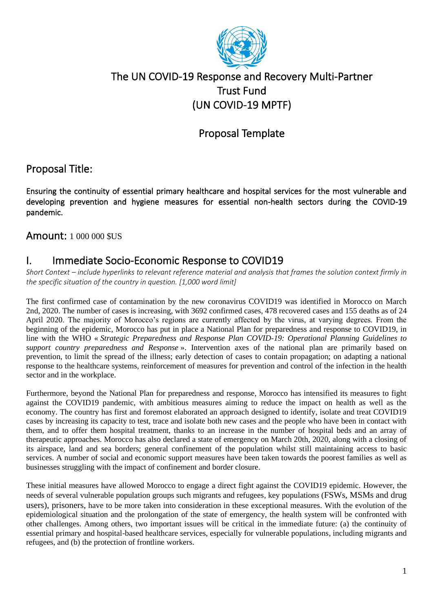

## The UN COVID-19 Response and Recovery Multi-Partner Trust Fund (UN COVID-19 MPTF)

## Proposal Template

## Proposal Title:

Ensuring the continuity of essential primary healthcare and hospital services for the most vulnerable and developing prevention and hygiene measures for essential non-health sectors during the COVID-19 pandemic.

Amount: 1 000 000 \$US

## I. Immediate Socio-Economic Response to COVID19

*Short Context – include hyperlinks to relevant reference material and analysis that frames the solution context firmly in the specific situation of the country in question. [1,000 word limit]*

The first confirmed case of contamination by the new coronavirus COVID19 was identified in Morocco on March 2nd, 2020. The number of cases is increasing, with 3692 confirmed cases, 478 recovered cases and 155 deaths as of 24 April 2020. The majority of Morocco's regions are currently affected by the virus, at varying degrees. From the beginning of the epidemic, Morocco has put in place a National Plan for preparedness and response to COVID19, in line with the WHO « *Strategic Preparedness and Response Plan COVID-19: Operational Planning Guidelines to support country preparedness and Response* ». Intervention axes of the national plan are primarily based on prevention, to limit the spread of the illness; early detection of cases to contain propagation; on adapting a national response to the healthcare systems, reinforcement of measures for prevention and control of the infection in the health sector and in the workplace.

Furthermore, beyond the National Plan for preparedness and response, Morocco has intensified its measures to fight against the COVID19 pandemic, with ambitious measures aiming to reduce the impact on health as well as the economy. The country has first and foremost elaborated an approach designed to identify, isolate and treat COVID19 cases by increasing its capacity to test, trace and isolate both new cases and the people who have been in contact with them, and to offer them hospital treatment, thanks to an increase in the number of hospital beds and an array of therapeutic approaches. Morocco has also declared a state of emergency on March 20th, 2020, along with a closing of its airspace, land and sea borders; general confinement of the population whilst still maintaining access to basic services. A number of social and economic support measures have been taken towards the poorest families as well as businesses struggling with the impact of confinement and border closure.

These initial measures have allowed Morocco to engage a direct fight against the COVID19 epidemic. However, the needs of several vulnerable population groups such migrants and refugees, key populations (FSWs, MSMs and drug users), prisoners, have to be more taken into consideration in these exceptional measures. With the evolution of the epidemiological situation and the prolongation of the state of emergency, the health system will be confronted with other challenges. Among others, two important issues will be critical in the immediate future: (a) the continuity of essential primary and hospital-based healthcare services, especially for vulnerable populations, including migrants and refugees, and (b) the protection of frontline workers.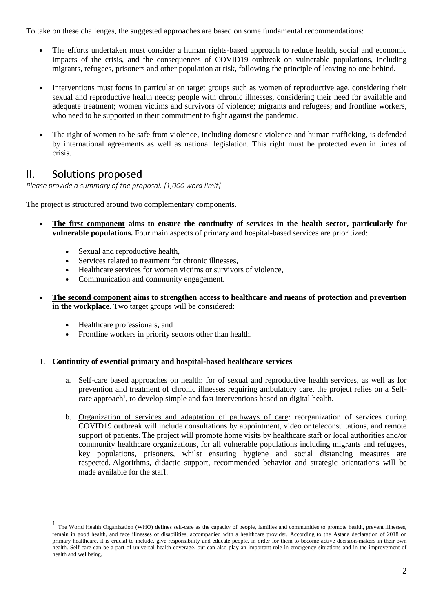To take on these challenges, the suggested approaches are based on some fundamental recommendations:

- The efforts undertaken must consider a human rights-based approach to reduce health, social and economic impacts of the crisis, and the consequences of COVID19 outbreak on vulnerable populations, including migrants, refugees, prisoners and other population at risk, following the principle of leaving no one behind.
- Interventions must focus in particular on target groups such as women of reproductive age, considering their sexual and reproductive health needs; people with chronic illnesses, considering their need for available and adequate treatment; women victims and survivors of violence; migrants and refugees; and frontline workers, who need to be supported in their commitment to fight against the pandemic.
- The right of women to be safe from violence, including domestic violence and human trafficking, is defended by international agreements as well as national legislation. This right must be protected even in times of crisis.

### II. Solutions proposed

*Please provide a summary of the proposal. [1,000 word limit]*

The project is structured around two complementary components.

- **The first component aims to ensure the continuity of services in the health sector, particularly for vulnerable populations.** Four main aspects of primary and hospital-based services are prioritized:
	- Sexual and reproductive health,
	- Services related to treatment for chronic illnesses.
	- Healthcare services for women victims or survivors of violence,
	- Communication and community engagement.
- **The second component aims to strengthen access to healthcare and means of protection and prevention in the workplace.** Two target groups will be considered:
	- Healthcare professionals, and
	- Frontline workers in priority sectors other than health.

#### 1. **Continuity of essential primary and hospital-based healthcare services**

- a. Self-care based approaches on health: for of sexual and reproductive health services, as well as for prevention and treatment of chronic illnesses requiring ambulatory care, the project relies on a Selfcare approach<sup>1</sup>, to develop simple and fast interventions based on digital health.
- b. Organization of services and adaptation of pathways of care: reorganization of services during COVID19 outbreak will include consultations by appointment, video or teleconsultations, and remote support of patients. The project will promote home visits by healthcare staff or local authorities and/or community healthcare organizations, for all vulnerable populations including migrants and refugees, key populations, prisoners, whilst ensuring hygiene and social distancing measures are respected. Algorithms, didactic support, recommended behavior and strategic orientations will be made available for the staff.

<sup>&</sup>lt;sup>1</sup> The World Health Organization (WHO) defines self-care as the capacity of people, families and communities to promote health, prevent illnesses, remain in good health, and face illnesses or disabilities, accompanied with a healthcare provider. According to the Astana declaration of 2018 on primary healthcare, it is crucial to include, give responsibility and educate people, in order for them to become active decision-makers in their own health. Self-care can be a part of universal health coverage, but can also play an important role in emergency situations and in the improvement of health and wellbeing.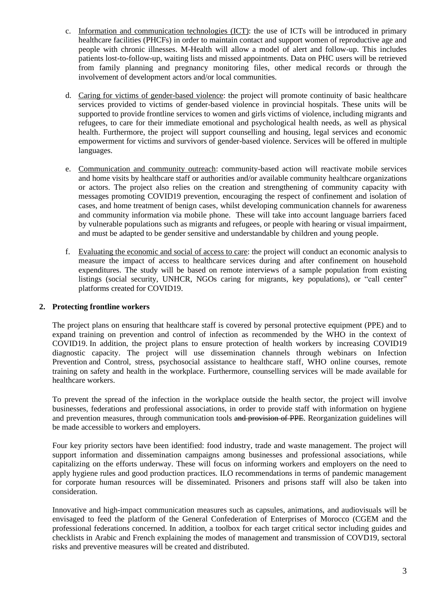- c. Information and communication technologies (ICT): the use of ICTs will be introduced in primary healthcare facilities (PHCFs) in order to maintain contact and support women of reproductive age and people with chronic illnesses. M-Health will allow a model of alert and follow-up. This includes patients lost-to-follow-up, waiting lists and missed appointments. Data on PHC users will be retrieved from family planning and pregnancy monitoring files, other medical records or through the involvement of development actors and/or local communities.
- d. Caring for victims of gender-based violence: the project will promote continuity of basic healthcare services provided to victims of gender-based violence in provincial hospitals. These units will be supported to provide frontline services to women and girls victims of violence, including migrants and refugees, to care for their immediate emotional and psychological health needs, as well as physical health. Furthermore, the project will support counselling and housing, legal services and economic empowerment for victims and survivors of gender-based violence. Services will be offered in multiple languages.
- e. Communication and community outreach: community-based action will reactivate mobile services and home visits by healthcare staff or authorities and/or available community healthcare organizations or actors. The project also relies on the creation and strengthening of community capacity with messages promoting COVID19 prevention, encouraging the respect of confinement and isolation of cases, and home treatment of benign cases, whilst developing communication channels for awareness and community information via mobile phone. These will take into account language barriers faced by vulnerable populations such as migrants and refugees, or people with hearing or visual impairment, and must be adapted to be gender sensitive and understandable by children and young people.
- f. Evaluating the economic and social of access to care: the project will conduct an economic analysis to measure the impact of access to healthcare services during and after confinement on household expenditures. The study will be based on remote interviews of a sample population from existing listings (social security, UNHCR, NGOs caring for migrants, key populations), or "call center" platforms created for COVID19.

#### **2. Protecting frontline workers**

The project plans on ensuring that healthcare staff is covered by personal protective equipment (PPE) and to expand training on prevention and control of infection as recommended by the WHO in the context of COVID19. In addition, the project plans to ensure protection of health workers by increasing COVID19 diagnostic capacity. The project will use dissemination channels through webinars on Infection Prevention and Control, stress, psychosocial assistance to healthcare staff, WHO online courses, remote training on safety and health in the workplace. Furthermore, counselling services will be made available for healthcare workers.

To prevent the spread of the infection in the workplace outside the health sector, the project will involve businesses, federations and professional associations, in order to provide staff with information on hygiene and prevention measures, through communication tools and provision of PPE. Reorganization guidelines will be made accessible to workers and employers.

Four key priority sectors have been identified: food industry, trade and waste management. The project will support information and dissemination campaigns among businesses and professional associations, while capitalizing on the efforts underway. These will focus on informing workers and employers on the need to apply hygiene rules and good production practices. ILO recommendations in terms of pandemic management for corporate human resources will be disseminated. Prisoners and prisons staff will also be taken into consideration.

Innovative and high-impact communication measures such as capsules, animations, and audiovisuals will be envisaged to feed the platform of the General Confederation of Enterprises of Morocco (CGEM and the professional federations concerned. In addition, a toolbox for each target critical sector including guides and checklists in Arabic and French explaining the modes of management and transmission of COVD19, sectoral risks and preventive measures will be created and distributed.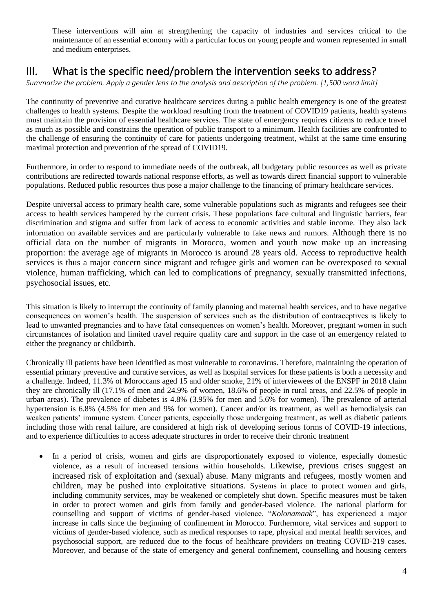These interventions will aim at strengthening the capacity of industries and services critical to the maintenance of an essential economy with a particular focus on young people and women represented in small and medium enterprises.

## III. What is the specific need/problem the intervention seeks to address?

*Summarize the problem. Apply [a gender lens](https://www.unwomen.org/en/news/stories/2020/3/news-checklist-for-covid-19-response-by-ded-regner) to the analysis and description of the problem. [1,500 word limit]*

The continuity of preventive and curative healthcare services during a public health emergency is one of the greatest challenges to health systems. Despite the workload resulting from the treatment of COVID19 patients, health systems must maintain the provision of essential healthcare services. The state of emergency requires citizens to reduce travel as much as possible and constrains the operation of public transport to a minimum. Health facilities are confronted to the challenge of ensuring the continuity of care for patients undergoing treatment, whilst at the same time ensuring maximal protection and prevention of the spread of COVID19.

Furthermore, in order to respond to immediate needs of the outbreak, all budgetary public resources as well as private contributions are redirected towards national response efforts, as well as towards direct financial support to vulnerable populations. Reduced public resources thus pose a major challenge to the financing of primary healthcare services.

Despite universal access to primary health care, some vulnerable populations such as migrants and refugees see their access to health services hampered by the current crisis. These populations face cultural and linguistic barriers, fear discrimination and stigma and suffer from lack of access to economic activities and stable income. They also lack information on available services and are particularly vulnerable to fake news and rumors. Although there is no official data on the number of migrants in Morocco, women and youth now make up an increasing proportion: the average age of migrants in Morocco is around 28 years old. Access to reproductive health services is thus a major concern since migrant and refugee girls and women can be overexposed to sexual violence, human trafficking, which can led to complications of pregnancy, sexually transmitted infections, psychosocial issues, etc.

This situation is likely to interrupt the continuity of family planning and maternal health services, and to have negative consequences on women's health. The suspension of services such as the distribution of contraceptives is likely to lead to unwanted pregnancies and to have fatal consequences on women's health. Moreover, pregnant women in such circumstances of isolation and limited travel require quality care and support in the case of an emergency related to either the pregnancy or childbirth.

Chronically ill patients have been identified as most vulnerable to coronavirus. Therefore, maintaining the operation of essential primary preventive and curative services, as well as hospital services for these patients is both a necessity and a challenge. Indeed, 11.3% of Moroccans aged 15 and older smoke, 21% of interviewees of the ENSPF in 2018 claim they are chronically ill (17.1% of men and 24.9% of women, 18.6% of people in rural areas, and 22.5% of people in urban areas). The prevalence of diabetes is 4.8% (3.95% for men and 5.6% for women). The prevalence of arterial hypertension is 6.8% (4.5% for men and 9% for women). Cancer and/or its treatment, as well as hemodialysis can weaken patients' immune system. Cancer patients, especially those undergoing treatment, as well as diabetic patients including those with renal failure, are considered at high risk of developing serious forms of COVID-19 infections, and to experience difficulties to access adequate structures in order to receive their chronic treatment

In a period of crisis, women and girls are disproportionately exposed to violence, especially domestic violence, as a result of increased tensions within households. Likewise, previous crises suggest an increased risk of exploitation and (sexual) abuse. Many migrants and refugees, mostly women and children, may be pushed into exploitative situations. Systems in place to protect women and girls, including community services, may be weakened or completely shut down. Specific measures must be taken in order to protect women and girls from family and gender-based violence. The national platform for counselling and support of victims of gender-based violence, "*Kolonamaak*", has experienced a major increase in calls since the beginning of confinement in Morocco. Furthermore, vital services and support to victims of gender-based violence, such as medical responses to rape, physical and mental health services, and psychosocial support, are reduced due to the focus of healthcare providers on treating COVID-219 cases. Moreover, and because of the state of emergency and general confinement, counselling and housing centers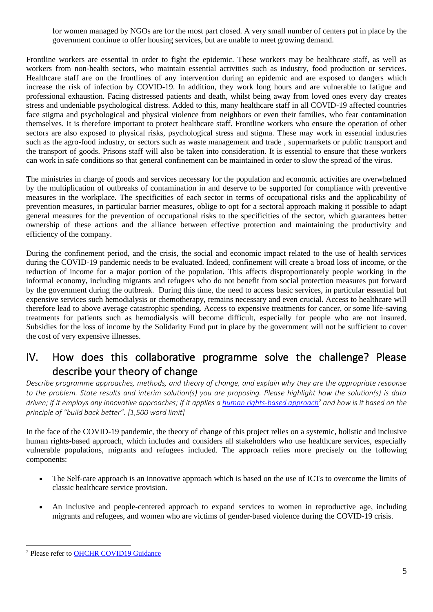for women managed by NGOs are for the most part closed. A very small number of centers put in place by the government continue to offer housing services, but are unable to meet growing demand.

Frontline workers are essential in order to fight the epidemic. These workers may be healthcare staff, as well as workers from non-health sectors, who maintain essential activities such as industry, food production or services. Healthcare staff are on the frontlines of any intervention during an epidemic and are exposed to dangers which increase the risk of infection by COVID-19. In addition, they work long hours and are vulnerable to fatigue and professional exhaustion. Facing distressed patients and death, whilst being away from loved ones every day creates stress and undeniable psychological distress. Added to this, many healthcare staff in all COVID-19 affected countries face stigma and psychological and physical violence from neighbors or even their families, who fear contamination themselves. It is therefore important to protect healthcare staff. Frontline workers who ensure the operation of other sectors are also exposed to physical risks, psychological stress and stigma. These may work in essential industries such as the agro-food industry, or sectors such as waste management and trade , supermarkets or public transport and the transport of goods. Prisons staff will also be taken into consideration. It is essential to ensure that these workers can work in safe conditions so that general confinement can be maintained in order to slow the spread of the virus.

The ministries in charge of goods and services necessary for the population and economic activities are overwhelmed by the multiplication of outbreaks of contamination in and deserve to be supported for compliance with preventive measures in the workplace. The specificities of each sector in terms of occupational risks and the applicability of prevention measures, in particular barrier measures, oblige to opt for a sectoral approach making it possible to adapt general measures for the prevention of occupational risks to the specificities of the sector, which guarantees better ownership of these actions and the alliance between effective protection and maintaining the productivity and efficiency of the company.

During the confinement period, and the crisis, the social and economic impact related to the use of health services during the COVID-19 pandemic needs to be evaluated. Indeed, confinement will create a broad loss of income, or the reduction of income for a major portion of the population. This affects disproportionately people working in the informal economy, including migrants and refugees who do not benefit from social protection measures put forward by the government during the outbreak. During this time, the need to access basic services, in particular essential but expensive services such hemodialysis or chemotherapy, remains necessary and even crucial. Access to healthcare will therefore lead to above average catastrophic spending. Access to expensive treatments for cancer, or some life-saving treatments for patients such as hemodialysis will become difficult, especially for people who are not insured. Subsidies for the loss of income by the Solidarity Fund put in place by the government will not be sufficient to cover the cost of very expensive illnesses.

## IV. How does this collaborative programme solve the challenge? Please describe your theory of change

*Describe programme approaches, methods, and theory of change, and explain why they are the appropriate response to the problem. State results and interim solution(s) you are proposing. Please highlight how the solution(s) is data driven; if it employs any innovative approaches; if it applies a [human rights-based approach](https://www.ohchr.org/EN/NewsEvents/Pages/COVID19Guidance.aspx)<sup>2</sup> and how is it based on the principle of "build back better". [1,500 word limit]*

In the face of the COVID-19 pandemic, the theory of change of this project relies on a systemic, holistic and inclusive human rights-based approach, which includes and considers all stakeholders who use healthcare services, especially vulnerable populations, migrants and refugees included. The approach relies more precisely on the following components:

- The Self-care approach is an innovative approach which is based on the use of ICTs to overcome the limits of classic healthcare service provision.
- An inclusive and people-centered approach to expand services to women in reproductive age, including migrants and refugees, and women who are victims of gender-based violence during the COVID-19 crisis.

<sup>&</sup>lt;sup>2</sup> Please refer to OHCHR COVID19 Guidance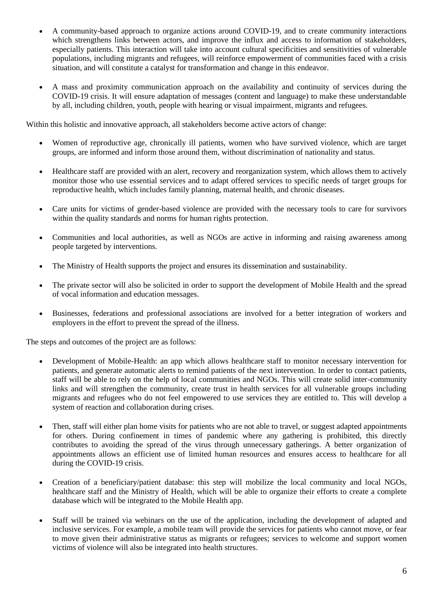- A community-based approach to organize actions around COVID-19, and to create community interactions which strengthens links between actors, and improve the influx and access to information of stakeholders, especially patients. This interaction will take into account cultural specificities and sensitivities of vulnerable populations, including migrants and refugees, will reinforce empowerment of communities faced with a crisis situation, and will constitute a catalyst for transformation and change in this endeavor.
- A mass and proximity communication approach on the availability and continuity of services during the COVID-19 crisis. It will ensure adaptation of messages (content and language) to make these understandable by all, including children, youth, people with hearing or visual impairment, migrants and refugees.

Within this holistic and innovative approach, all stakeholders become active actors of change:

- Women of reproductive age, chronically ill patients, women who have survived violence, which are target groups, are informed and inform those around them, without discrimination of nationality and status.
- Healthcare staff are provided with an alert, recovery and reorganization system, which allows them to actively monitor those who use essential services and to adapt offered services to specific needs of target groups for reproductive health, which includes family planning, maternal health, and chronic diseases.
- Care units for victims of gender-based violence are provided with the necessary tools to care for survivors within the quality standards and norms for human rights protection.
- Communities and local authorities, as well as NGOs are active in informing and raising awareness among people targeted by interventions.
- The Ministry of Health supports the project and ensures its dissemination and sustainability.
- The private sector will also be solicited in order to support the development of Mobile Health and the spread of vocal information and education messages.
- Businesses, federations and professional associations are involved for a better integration of workers and employers in the effort to prevent the spread of the illness.

The steps and outcomes of the project are as follows:

- Development of Mobile-Health: an app which allows healthcare staff to monitor necessary intervention for patients, and generate automatic alerts to remind patients of the next intervention. In order to contact patients, staff will be able to rely on the help of local communities and NGOs. This will create solid inter-community links and will strengthen the community, create trust in health services for all vulnerable groups including migrants and refugees who do not feel empowered to use services they are entitled to. This will develop a system of reaction and collaboration during crises.
- Then, staff will either plan home visits for patients who are not able to travel, or suggest adapted appointments for others. During confinement in times of pandemic where any gathering is prohibited, this directly contributes to avoiding the spread of the virus through unnecessary gatherings. A better organization of appointments allows an efficient use of limited human resources and ensures access to healthcare for all during the COVID-19 crisis.
- Creation of a beneficiary/patient database: this step will mobilize the local community and local NGOs, healthcare staff and the Ministry of Health, which will be able to organize their efforts to create a complete database which will be integrated to the Mobile Health app.
- Staff will be trained via webinars on the use of the application, including the development of adapted and inclusive services. For example, a mobile team will provide the services for patients who cannot move, or fear to move given their administrative status as migrants or refugees; services to welcome and support women victims of violence will also be integrated into health structures.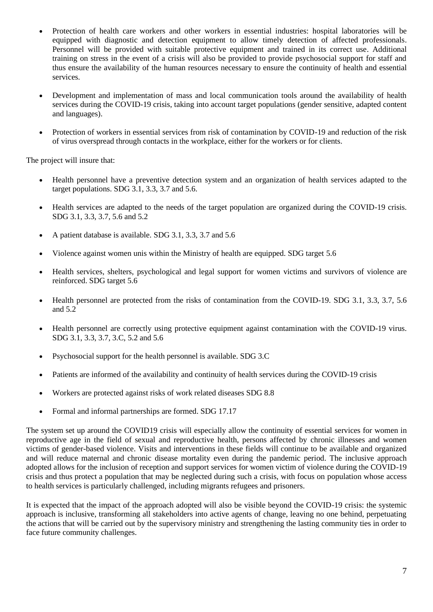- Protection of health care workers and other workers in essential industries: hospital laboratories will be equipped with diagnostic and detection equipment to allow timely detection of affected professionals. Personnel will be provided with suitable protective equipment and trained in its correct use. Additional training on stress in the event of a crisis will also be provided to provide psychosocial support for staff and thus ensure the availability of the human resources necessary to ensure the continuity of health and essential services.
- Development and implementation of mass and local communication tools around the availability of health services during the COVID-19 crisis, taking into account target populations (gender sensitive, adapted content and languages).
- Protection of workers in essential services from risk of contamination by COVID-19 and reduction of the risk of virus overspread through contacts in the workplace, either for the workers or for clients.

The project will insure that:

- Health personnel have a preventive detection system and an organization of health services adapted to the target populations. SDG 3.1, 3.3, 3.7 and 5.6.
- Health services are adapted to the needs of the target population are organized during the COVID-19 crisis. SDG 3.1, 3.3, 3.7, 5.6 and 5.2
- A patient database is available. SDG 3.1, 3.3, 3.7 and 5.6
- Violence against women unis within the Ministry of health are equipped. SDG target 5.6
- Health services, shelters, psychological and legal support for women victims and survivors of violence are reinforced. SDG target 5.6
- Health personnel are protected from the risks of contamination from the COVID-19. SDG 3.1, 3.3, 3.7, 5.6 and 5.2
- Health personnel are correctly using protective equipment against contamination with the COVID-19 virus. SDG 3.1, 3.3, 3.7, 3.C, 5.2 and 5.6
- Psychosocial support for the health personnel is available. SDG 3.C
- Patients are informed of the availability and continuity of health services during the COVID-19 crisis
- Workers are protected against risks of work related diseases SDG 8.8
- Formal and informal partnerships are formed. SDG 17.17

The system set up around the COVID19 crisis will especially allow the continuity of essential services for women in reproductive age in the field of sexual and reproductive health, persons affected by chronic illnesses and women victims of gender-based violence. Visits and interventions in these fields will continue to be available and organized and will reduce maternal and chronic disease mortality even during the pandemic period. The inclusive approach adopted allows for the inclusion of reception and support services for women victim of violence during the COVID-19 crisis and thus protect a population that may be neglected during such a crisis, with focus on population whose access to health services is particularly challenged, including migrants refugees and prisoners.

It is expected that the impact of the approach adopted will also be visible beyond the COVID-19 crisis: the systemic approach is inclusive, transforming all stakeholders into active agents of change, leaving no one behind, perpetuating the actions that will be carried out by the supervisory ministry and strengthening the lasting community ties in order to face future community challenges.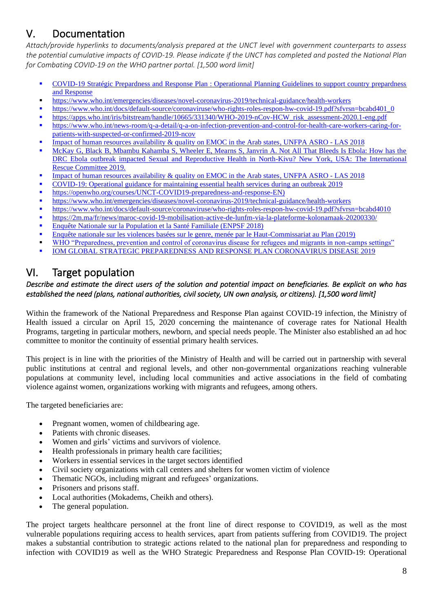## V. Documentation

*Attach/provide hyperlinks to documents/analysis prepared at the UNCT level with government counterparts to assess the potential cumulative impacts of COVID-19. Please indicate if the UNCT has completed and posted the National Plan for Combating COVID-19 on the WHO partner portal. [1,500 word limit]*

- COVID-19 Stratégic Prepardness and Response Plan : Operationnal Planning Guidelines to support country prepardness and Response
- <https://www.who.int/emergencies/diseases/novel-coronavirus-2019/technical-guidance/health-workers>
- [https://www.who.int/docs/default-source/coronaviruse/who-rights-roles-respon-hw-covid-19.pdf?sfvrsn=bcabd401\\_0](https://www.who.int/docs/default-source/coronaviruse/who-rights-roles-respon-hw-covid-19.pdf?sfvrsn=bcabd401_0)
- [https://apps.who.int/iris/bitstream/handle/10665/331340/WHO-2019-nCov-HCW\\_risk\\_assessment-2020.1-eng.pdf](https://apps.who.int/iris/bitstream/handle/10665/331340/WHO-2019-nCov-HCW_risk_assessment-2020.1-eng.pdf)
- [https://www.who.int/news-room/q-a-detail/q-a-on-infection-prevention-and-control-for-health-care-workers-caring-for](https://www.who.int/news-room/q-a-detail/q-a-on-infection-prevention-and-control-for-health-care-workers-caring-for-patients-with-suspected-or-confirmed-2019-ncov)[patients-with-suspected-or-confirmed-2019-ncov](https://www.who.int/news-room/q-a-detail/q-a-on-infection-prevention-and-control-for-health-care-workers-caring-for-patients-with-suspected-or-confirmed-2019-ncov)
- [Impact of human resources availability & quality on EMOC in the Arab states,](https://drive.google.com/open?id=1mMRIL4A104tfMdCi4hkI4Usj_NqLd8FW) UNFPA ASRO LAS 2018
- McKay G, Black B, Mbambu Kahamba S, Wheeler E, Mearns S, Janvrin A. Not All That Bleeds Is Ebola: How has the DRC Ebola outbreak impacted Sexual and Reproductive Health in North-Kivu? New York, USA: The International Rescue Committee 2019.
- [Impact of human resources availability & quality on EMOC in the Arab states,](https://drive.google.com/open?id=1mMRIL4A104tfMdCi4hkI4Usj_NqLd8FW) UNFPA ASRO LAS 2018
- COVID-19: Operational guidance for maintaining essential health services during an outbreak 2019
- **Interferies://openwho.org/courses/UNCT-COVID19-preparedness-and-response-EN)**
- <https://www.who.int/emergencies/diseases/novel-coronavirus-2019/technical-guidance/health-workers>
- <https://www.who.int/docs/default-source/coronaviruse/who-rights-roles-respon-hw-covid-19.pdf?sfvrsn=bcabd4010>
- <https://2m.ma/fr/news/maroc-covid-19-mobilisation-active-de-lunfm-via-la-plateforme-kolonamaak-20200330/> Enquête Nationale sur la Population et la Santé Familiale (ENPSF 2018)
- Enquête nationale sur les violences basées sur le genre, menée par le Haut-Commissariat au Plan (2019)
- [WHO "Preparedness, prevention and control of coronavirus disease for refugees and migrants in non-camps settings"](https://www.who.int/publications-detail/preparedness-prevention-and-control-of-coronavirus-disease-(covid-19)-for-refugees-and-migrants-in-non-camp-settings)
- **[IOM GLOBAL STRATEGIC PREPAREDNESS AND RESPONSE PLAN CORONAVIRUS DISEASE 2019](https://www.iom.int/sites/default/files/defaul/iom_covid19_appeal_15.04.2020.pdf)**

## VI. Target population

#### *Describe and estimate the direct users of the solution and potential impact on beneficiaries. Be explicit on who has established the need (plans, national authorities, civil society, UN own analysis, or citizens). [1,500 word limit]*

Within the framework of the National Preparedness and Response Plan against COVID-19 infection, the Ministry of Health issued a circular on April 15, 2020 concerning the maintenance of coverage rates for National Health Programs, targeting in particular mothers, newborn, and special needs people. The Minister also established an ad hoc committee to monitor the continuity of essential primary health services.

This project is in line with the priorities of the Ministry of Health and will be carried out in partnership with several public institutions at central and regional levels, and other non-governmental organizations reaching vulnerable populations at community level, including local communities and active associations in the field of combating violence against women, organizations working with migrants and refugees, among others.

The targeted beneficiaries are:

- Pregnant women, women of childbearing age.
- Patients with chronic diseases.
- Women and girls' victims and survivors of violence.
- Health professionals in primary health care facilities;
- Workers in essential services in the target sectors identified
- Civil society organizations with call centers and shelters for women victim of violence
- Thematic NGOs, including migrant and refugees' organizations.
- Prisoners and prisons staff.
- Local authorities (Mokadems, Cheikh and others).
- The general population.

The project targets healthcare personnel at the front line of direct response to COVID19, as well as the most vulnerable populations requiring access to health services, apart from patients suffering from COVID19. The project makes a substantial contribution to strategic actions related to the national plan for preparedness and responding to infection with COVID19 as well as the WHO Strategic Preparedness and Response Plan COVID-19: Operational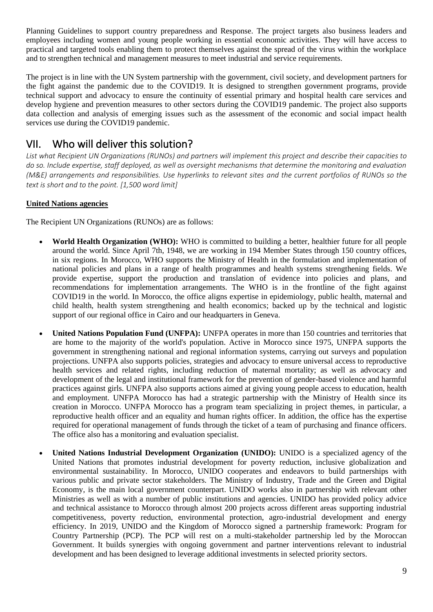Planning Guidelines to support country preparedness and Response. The project targets also business leaders and employees including women and young people working in essential economic activities. They will have access to practical and targeted tools enabling them to protect themselves against the spread of the virus within the workplace and to strengthen technical and management measures to meet industrial and service requirements.

The project is in line with the UN System partnership with the government, civil society, and development partners for the fight against the pandemic due to the COVID19. It is designed to strengthen government programs, provide technical support and advocacy to ensure the continuity of essential primary and hospital health care services and develop hygiene and prevention measures to other sectors during the COVID19 pandemic. The project also supports data collection and analysis of emerging issues such as the assessment of the economic and social impact health services use during the COVID19 pandemic.

## VII. Who will deliver this solution?

*List what Recipient UN Organizations (RUNOs) and partners will implement this project and describe their capacities to do so. Include expertise, staff deployed, as well as oversight mechanisms that determine the monitoring and evaluation (M&E) arrangements and responsibilities. Use hyperlinks to relevant sites and the current portfolios of RUNOs so the text is short and to the point. [1,500 word limit]*

#### **United Nations agencies**

The Recipient UN Organizations (RUNOs) are as follows:

- **World Health Organization (WHO):** WHO is committed to building a better, healthier future for all people around the world. Since April 7th, 1948, we are working in 194 Member States through 150 country offices, in six regions. In Morocco, WHO supports the Ministry of Health in the formulation and implementation of national policies and plans in a range of health programmes and health systems strengthening fields. We provide expertise, support the production and translation of evidence into policies and plans, and recommendations for implementation arrangements. The WHO is in the frontline of the fight against COVID19 in the world. In Morocco, the office aligns expertise in epidemiology, public health, maternal and child health, health system strengthening and health economics; backed up by the technical and logistic support of our regional office in Cairo and our headquarters in Geneva.
- United Nations Population Fund (UNFPA): UNFPA operates in more than 150 countries and territories that are home to the majority of the world's population. Active in Morocco since 1975, UNFPA supports the government in strengthening national and regional information systems, carrying out surveys and population projections. UNFPA also supports policies, strategies and advocacy to ensure universal access to reproductive health services and related rights, including reduction of maternal mortality; as well as advocacy and development of the legal and institutional framework for the prevention of gender-based violence and harmful practices against girls. UNFPA also supports actions aimed at giving young people access to education, health and employment. UNFPA Morocco has had a strategic partnership with the Ministry of Health since its creation in Morocco. UNFPA Morocco has a program team specializing in project themes, in particular, a reproductive health officer and an equality and human rights officer. In addition, the office has the expertise required for operational management of funds through the ticket of a team of purchasing and finance officers. The office also has a monitoring and evaluation specialist.
- **United Nations Industrial Development Organization (UNIDO):** UNIDO is a specialized agency of the United Nations that promotes industrial development for poverty reduction, inclusive globalization and environmental sustainability. In Morocco, UNIDO cooperates and endeavors to build partnerships with various public and private sector stakeholders. The Ministry of Industry, Trade and the Green and Digital Economy, is the main local government counterpart. UNIDO works also in partnership with relevant other Ministries as well as with a number of public institutions and agencies. UNIDO has provided policy advice and technical assistance to Morocco through almost 200 projects across different areas supporting industrial competitiveness, poverty reduction, environmental protection, agro-industrial development and energy efficiency. In 2019, UNIDO and the Kingdom of Morocco signed a partnership framework: Program for Country Partnership (PCP). The PCP will rest on a multi-stakeholder partnership led by the Moroccan Government. It builds synergies with ongoing government and partner interventions relevant to industrial development and has been designed to leverage additional investments in selected priority sectors.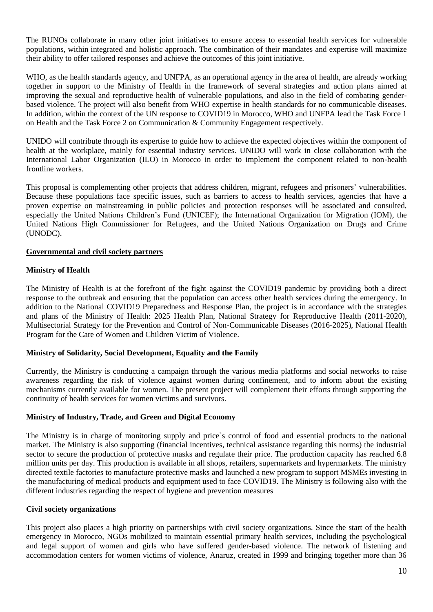The RUNOs collaborate in many other joint initiatives to ensure access to essential health services for vulnerable populations, within integrated and holistic approach. The combination of their mandates and expertise will maximize their ability to offer tailored responses and achieve the outcomes of this joint initiative.

WHO, as the health standards agency, and UNFPA, as an operational agency in the area of health, are already working together in support to the Ministry of Health in the framework of several strategies and action plans aimed at improving the sexual and reproductive health of vulnerable populations, and also in the field of combating genderbased violence. The project will also benefit from WHO expertise in health standards for no communicable diseases. In addition, within the context of the UN response to COVID19 in Morocco, WHO and UNFPA lead the Task Force 1 on Health and the Task Force 2 on Communication & Community Engagement respectively.

UNIDO will contribute through its expertise to guide how to achieve the expected objectives within the component of health at the workplace, mainly for essential industry services. UNIDO will work in close collaboration with the International Labor Organization (ILO) in Morocco in order to implement the component related to non-health frontline workers.

This proposal is complementing other projects that address children, migrant, refugees and prisoners' vulnerabilities. Because these populations face specific issues, such as barriers to access to health services, agencies that have a proven expertise on mainstreaming in public policies and protection responses will be associated and consulted, especially the United Nations Children's Fund (UNICEF); the International Organization for Migration (IOM), the United Nations High Commissioner for Refugees, and the United Nations Organization on Drugs and Crime (UNODC).

#### **Governmental and civil society partners**

#### **Ministry of Health**

The Ministry of Health is at the forefront of the fight against the COVID19 pandemic by providing both a direct response to the outbreak and ensuring that the population can access other health services during the emergency. In addition to the National COVID19 Preparedness and Response Plan, the project is in accordance with the strategies and plans of the Ministry of Health: 2025 Health Plan, National Strategy for Reproductive Health (2011-2020), Multisectorial Strategy for the Prevention and Control of Non-Communicable Diseases (2016-2025), National Health Program for the Care of Women and Children Victim of Violence.

#### **Ministry of Solidarity, Social Development, Equality and the Family**

Currently, the Ministry is conducting a campaign through the various media platforms and social networks to raise awareness regarding the risk of violence against women during confinement, and to inform about the existing mechanisms currently available for women. The present project will complement their efforts through supporting the continuity of health services for women victims and survivors.

#### **Ministry of Industry, Trade, and Green and Digital Economy**

The Ministry is in charge of monitoring supply and price`s control of food and essential products to the national market. The Ministry is also supporting (financial incentives, technical assistance regarding this norms) the industrial sector to secure the production of protective masks and regulate their price. The production capacity has reached 6.8 million units per day. This production is available in all shops, retailers, supermarkets and hypermarkets. The ministry directed textile factories to manufacture protective masks and launched a new program to support MSMEs investing in the manufacturing of medical products and equipment used to face COVID19. The Ministry is following also with the different industries regarding the respect of hygiene and prevention measures

#### **Civil society organizations**

This project also places a high priority on partnerships with civil society organizations. Since the start of the health emergency in Morocco, NGOs mobilized to maintain essential primary health services, including the psychological and legal support of women and girls who have suffered gender-based violence. The network of listening and accommodation centers for women victims of violence, Anaruz, created in 1999 and bringing together more than 36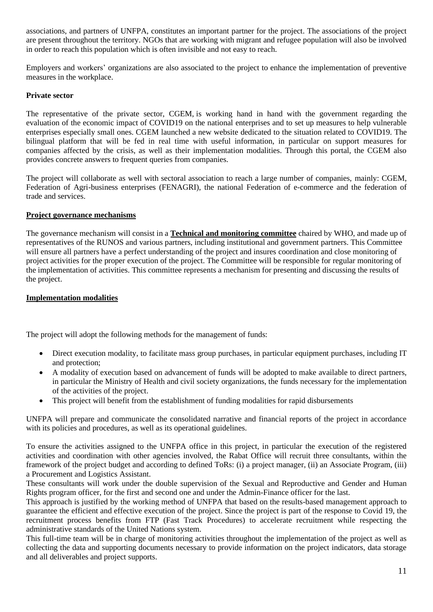associations, and partners of UNFPA, constitutes an important partner for the project. The associations of the project are present throughout the territory. NGOs that are working with migrant and refugee population will also be involved in order to reach this population which is often invisible and not easy to reach.

Employers and workers' organizations are also associated to the project to enhance the implementation of preventive measures in the workplace.

#### **Private sector**

The representative of the private sector, CGEM, is working hand in hand with the government regarding the evaluation of the economic impact of COVID19 on the national enterprises and to set up measures to help vulnerable enterprises especially small ones. CGEM launched a new website dedicated to the situation related to COVID19. The bilingual platform that will be fed in real time with useful information, in particular on support measures for companies affected by the crisis, as well as their implementation modalities. Through this portal, the CGEM also provides concrete answers to frequent queries from companies.

The project will collaborate as well with sectoral association to reach a large number of companies, mainly: CGEM, Federation of Agri-business enterprises (FENAGRI), the national Federation of e-commerce and the federation of trade and services.

#### **Project governance mechanisms**

The governance mechanism will consist in a **Technical and monitoring committee** chaired by WHO, and made up of representatives of the RUNOS and various partners, including institutional and government partners. This Committee will ensure all partners have a perfect understanding of the project and insures coordination and close monitoring of project activities for the proper execution of the project. The Committee will be responsible for regular monitoring of the implementation of activities. This committee represents a mechanism for presenting and discussing the results of the project.

#### **Implementation modalities**

The project will adopt the following methods for the management of funds:

- Direct execution modality, to facilitate mass group purchases, in particular equipment purchases, including IT and protection;
- A modality of execution based on advancement of funds will be adopted to make available to direct partners, in particular the Ministry of Health and civil society organizations, the funds necessary for the implementation of the activities of the project.
- This project will benefit from the establishment of funding modalities for rapid disbursements

UNFPA will prepare and communicate the consolidated narrative and financial reports of the project in accordance with its policies and procedures, as well as its operational guidelines.

To ensure the activities assigned to the UNFPA office in this project, in particular the execution of the registered activities and coordination with other agencies involved, the Rabat Office will recruit three consultants, within the framework of the project budget and according to defined ToRs: (i) a project manager, (ii) an Associate Program, (iii) a Procurement and Logistics Assistant.

These consultants will work under the double supervision of the Sexual and Reproductive and Gender and Human Rights program officer, for the first and second one and under the Admin-Finance officer for the last.

This approach is justified by the working method of UNFPA that based on the results-based management approach to guarantee the efficient and effective execution of the project. Since the project is part of the response to Covid 19, the recruitment process benefits from FTP (Fast Track Procedures) to accelerate recruitment while respecting the administrative standards of the United Nations system.

This full-time team will be in charge of monitoring activities throughout the implementation of the project as well as collecting the data and supporting documents necessary to provide information on the project indicators, data storage and all deliverables and project supports.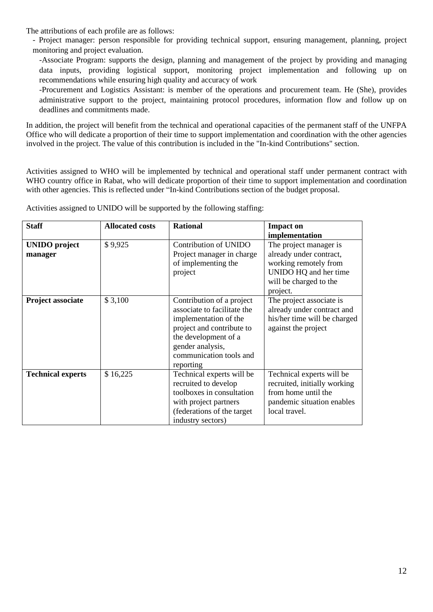The attributions of each profile are as follows:

- Project manager: person responsible for providing technical support, ensuring management, planning, project monitoring and project evaluation.

-Associate Program: supports the design, planning and management of the project by providing and managing data inputs, providing logistical support, monitoring project implementation and following up on recommendations while ensuring high quality and accuracy of work

-Procurement and Logistics Assistant: is member of the operations and procurement team. He (She), provides administrative support to the project, maintaining protocol procedures, information flow and follow up on deadlines and commitments made.

In addition, the project will benefit from the technical and operational capacities of the permanent staff of the UNFPA Office who will dedicate a proportion of their time to support implementation and coordination with the other agencies involved in the project. The value of this contribution is included in the "In-kind Contributions" section.

Activities assigned to WHO will be implemented by technical and operational staff under permanent contract with WHO country office in Rabat, who will dedicate proportion of their time to support implementation and coordination with other agencies. This is reflected under "In-kind Contributions section of the budget proposal.

| <b>Staff</b>                    | <b>Allocated costs</b> | <b>Rational</b>                                                                                                                                                                                    | <b>Impact on</b><br>implementation                                                                                                        |
|---------------------------------|------------------------|----------------------------------------------------------------------------------------------------------------------------------------------------------------------------------------------------|-------------------------------------------------------------------------------------------------------------------------------------------|
| <b>UNIDO</b> project<br>manager | \$9,925                | Contribution of UNIDO<br>Project manager in charge<br>of implementing the<br>project                                                                                                               | The project manager is<br>already under contract,<br>working remotely from<br>UNIDO HQ and her time<br>will be charged to the<br>project. |
| Project associate               | \$3,100                | Contribution of a project<br>associate to facilitate the<br>implementation of the<br>project and contribute to<br>the development of a<br>gender analysis,<br>communication tools and<br>reporting | The project associate is<br>already under contract and<br>his/her time will be charged<br>against the project                             |
| <b>Technical experts</b>        | \$16,225               | Technical experts will be<br>recruited to develop<br>toolboxes in consultation<br>with project partners<br>(federations of the target<br>industry sectors)                                         | Technical experts will be<br>recruited, initially working<br>from home until the<br>pandemic situation enables<br>local travel.           |

Activities assigned to UNIDO will be supported by the following staffing: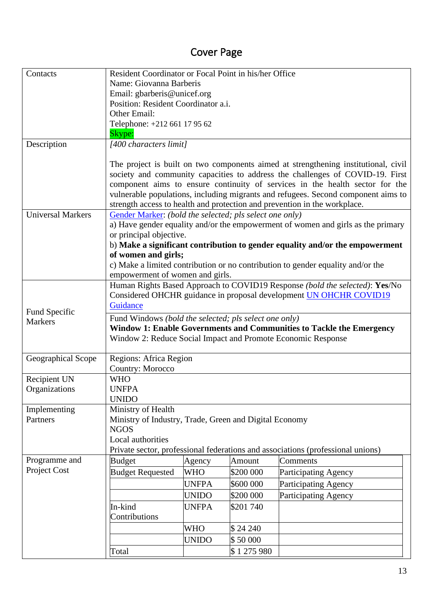## Cover Page

| Contacts                        | Resident Coordinator or Focal Point in his/her Office                        |                                     |           |                                                                                    |  |  |  |  |
|---------------------------------|------------------------------------------------------------------------------|-------------------------------------|-----------|------------------------------------------------------------------------------------|--|--|--|--|
|                                 | Name: Giovanna Barberis                                                      |                                     |           |                                                                                    |  |  |  |  |
|                                 | Email: gbarberis@unicef.org                                                  |                                     |           |                                                                                    |  |  |  |  |
|                                 |                                                                              | Position: Resident Coordinator a.i. |           |                                                                                    |  |  |  |  |
|                                 | Other Email:                                                                 |                                     |           |                                                                                    |  |  |  |  |
|                                 |                                                                              | Telephone: +212 661 17 95 62        |           |                                                                                    |  |  |  |  |
|                                 | Skype:                                                                       |                                     |           |                                                                                    |  |  |  |  |
| Description                     | [400 characters limit]                                                       |                                     |           |                                                                                    |  |  |  |  |
|                                 |                                                                              |                                     |           |                                                                                    |  |  |  |  |
|                                 |                                                                              |                                     |           | The project is built on two components aimed at strengthening institutional, civil |  |  |  |  |
|                                 |                                                                              |                                     |           | society and community capacities to address the challenges of COVID-19. First      |  |  |  |  |
|                                 |                                                                              |                                     |           | component aims to ensure continuity of services in the health sector for the       |  |  |  |  |
|                                 |                                                                              |                                     |           | vulnerable populations, including migrants and refugees. Second component aims to  |  |  |  |  |
| <b>Universal Markers</b>        |                                                                              |                                     |           | strength access to health and protection and prevention in the workplace.          |  |  |  |  |
|                                 | Gender Marker: (bold the selected; pls select one only)                      |                                     |           | a) Have gender equality and/or the empowerment of women and girls as the primary   |  |  |  |  |
|                                 | or principal objective.                                                      |                                     |           |                                                                                    |  |  |  |  |
|                                 |                                                                              |                                     |           | b) Make a significant contribution to gender equality and/or the empowerment       |  |  |  |  |
|                                 | of women and girls;                                                          |                                     |           |                                                                                    |  |  |  |  |
|                                 |                                                                              |                                     |           | c) Make a limited contribution or no contribution to gender equality and/or the    |  |  |  |  |
|                                 | empowerment of women and girls.                                              |                                     |           |                                                                                    |  |  |  |  |
|                                 |                                                                              |                                     |           | Human Rights Based Approach to COVID19 Response (bold the selected): Yes/No        |  |  |  |  |
|                                 |                                                                              |                                     |           | Considered OHCHR guidance in proposal development UN OHCHR COVID19                 |  |  |  |  |
|                                 | Guidance                                                                     |                                     |           |                                                                                    |  |  |  |  |
| Fund Specific<br><b>Markers</b> | Fund Windows (bold the selected; pls select one only)                        |                                     |           |                                                                                    |  |  |  |  |
|                                 |                                                                              |                                     |           | Window 1: Enable Governments and Communities to Tackle the Emergency               |  |  |  |  |
|                                 |                                                                              |                                     |           | Window 2: Reduce Social Impact and Promote Economic Response                       |  |  |  |  |
|                                 |                                                                              |                                     |           |                                                                                    |  |  |  |  |
| Geographical Scope              | Regions: Africa Region                                                       |                                     |           |                                                                                    |  |  |  |  |
|                                 | <b>Country: Morocco</b>                                                      |                                     |           |                                                                                    |  |  |  |  |
| Recipient UN                    | <b>WHO</b>                                                                   |                                     |           |                                                                                    |  |  |  |  |
| Organizations                   | <b>UNFPA</b>                                                                 |                                     |           |                                                                                    |  |  |  |  |
|                                 | <b>UNIDO</b>                                                                 |                                     |           |                                                                                    |  |  |  |  |
| Implementing<br>Partners        | Ministry of Health<br>Ministry of Industry, Trade, Green and Digital Economy |                                     |           |                                                                                    |  |  |  |  |
|                                 | <b>NGOS</b>                                                                  |                                     |           |                                                                                    |  |  |  |  |
|                                 | Local authorities                                                            |                                     |           |                                                                                    |  |  |  |  |
|                                 |                                                                              |                                     |           | Private sector, professional federations and associations (professional unions)    |  |  |  |  |
| Programme and                   | Budget                                                                       | Agency                              | Amount    | Comments                                                                           |  |  |  |  |
| Project Cost                    | <b>Budget Requested</b>                                                      | <b>WHO</b>                          | \$200 000 | <b>Participating Agency</b>                                                        |  |  |  |  |
|                                 |                                                                              | <b>UNFPA</b>                        | \$600 000 | <b>Participating Agency</b>                                                        |  |  |  |  |
|                                 |                                                                              | <b>UNIDO</b>                        | \$200 000 | <b>Participating Agency</b>                                                        |  |  |  |  |
|                                 | In-kind                                                                      | <b>UNFPA</b>                        | \$201 740 |                                                                                    |  |  |  |  |
|                                 | Contributions                                                                |                                     |           |                                                                                    |  |  |  |  |
|                                 |                                                                              | <b>WHO</b>                          | \$24 240  |                                                                                    |  |  |  |  |
|                                 |                                                                              | <b>UNIDO</b>                        | \$50 000  |                                                                                    |  |  |  |  |
|                                 | Total                                                                        |                                     | \$1275980 |                                                                                    |  |  |  |  |
|                                 |                                                                              |                                     |           |                                                                                    |  |  |  |  |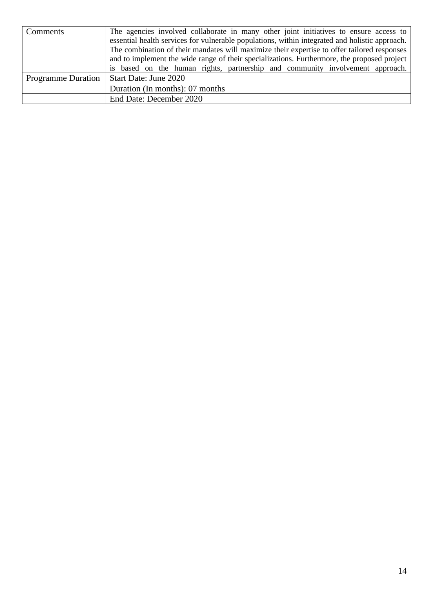| Comments                  | The agencies involved collaborate in many other joint initiatives to ensure access to          |  |  |  |  |  |  |  |
|---------------------------|------------------------------------------------------------------------------------------------|--|--|--|--|--|--|--|
|                           | essential health services for vulnerable populations, within integrated and holistic approach. |  |  |  |  |  |  |  |
|                           | The combination of their mandates will maximize their expertise to offer tailored responses    |  |  |  |  |  |  |  |
|                           | and to implement the wide range of their specializations. Furthermore, the proposed project    |  |  |  |  |  |  |  |
|                           | is based on the human rights, partnership and community involvement approach.                  |  |  |  |  |  |  |  |
| <b>Programme Duration</b> | Start Date: June 2020                                                                          |  |  |  |  |  |  |  |
|                           | Duration (In months): 07 months                                                                |  |  |  |  |  |  |  |
|                           | End Date: December 2020                                                                        |  |  |  |  |  |  |  |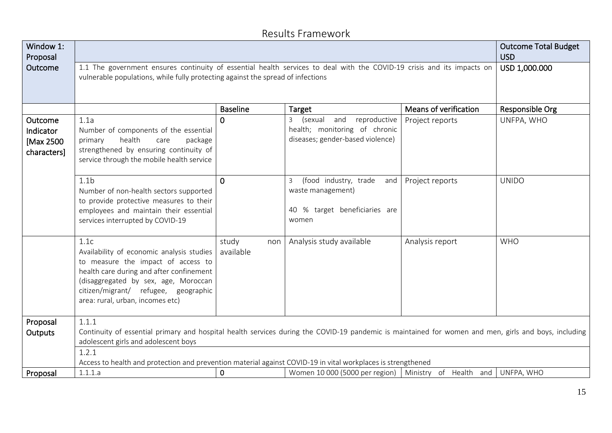## Results Framework

| Window 1:<br>Proposal                            |                                                                                                                                                                                                                                                         |                           | <b>Outcome Total Budget</b><br><b>USD</b>                                                             |                       |              |
|--------------------------------------------------|---------------------------------------------------------------------------------------------------------------------------------------------------------------------------------------------------------------------------------------------------------|---------------------------|-------------------------------------------------------------------------------------------------------|-----------------------|--------------|
| Outcome                                          | 1.1 The government ensures continuity of essential health services to deal with the COVID-19 crisis and its impacts on<br>vulnerable populations, while fully protecting against the spread of infections                                               | USD 1,000.000             |                                                                                                       |                       |              |
|                                                  |                                                                                                                                                                                                                                                         | Means of verification     | Responsible Org                                                                                       |                       |              |
| Outcome<br>Indicator<br>[Max 2500<br>characters] | 1.1a<br>Number of components of the essential<br>health<br>package<br>primary<br>care<br>strengthened by ensuring continuity of<br>service through the mobile health service                                                                            | $\overline{0}$            | 3 (sexual<br>reproductive<br>and<br>health; monitoring of chronic<br>diseases; gender-based violence) | Project reports       | UNFPA, WHO   |
|                                                  | 1.1 <sub>b</sub><br>Number of non-health sectors supported<br>to provide protective measures to their<br>employees and maintain their essential<br>services interrupted by COVID-19                                                                     | $\Omega$                  | (food industry, trade<br>3<br>waste management)<br>40 % target beneficiaries are<br>women             | and   Project reports | <b>UNIDO</b> |
|                                                  | 1.1c<br>Availability of economic analysis studies<br>to measure the impact of access to<br>health care during and after confinement<br>(disaggregated by sex, age, Moroccan<br>citizen/migrant/ refugee, geographic<br>area: rural, urban, incomes etc) | study<br>non<br>available | Analysis study available                                                                              | Analysis report       | <b>WHO</b>   |
| Proposal<br>Outputs                              | 1.1.1<br>Continuity of essential primary and hospital health services during the COVID-19 pandemic is maintained for women and men, girls and boys, including                                                                                           |                           |                                                                                                       |                       |              |
|                                                  | adolescent girls and adolescent boys                                                                                                                                                                                                                    |                           |                                                                                                       |                       |              |
|                                                  | 1.2.1                                                                                                                                                                                                                                                   |                           |                                                                                                       |                       |              |
|                                                  | Access to health and protection and prevention material against COVID-19 in vital workplaces is strengthened                                                                                                                                            |                           |                                                                                                       |                       |              |
| Proposal                                         | 1.1.1.a                                                                                                                                                                                                                                                 | $\mathbf 0$               | Women 10 000 (5000 per region)   Ministry of Health and   UNFPA, WHO                                  |                       |              |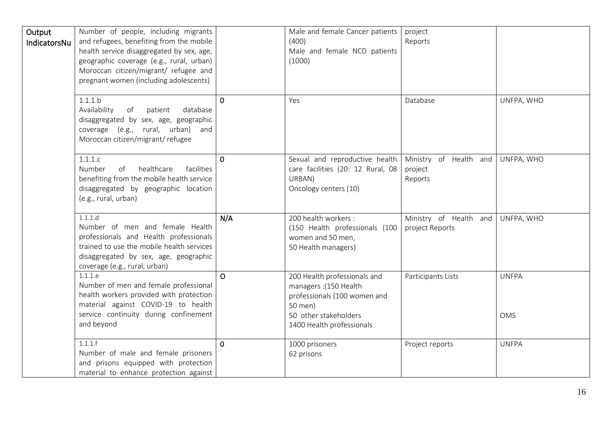| Output<br>IndicatorsNu | Number of people, including migrants<br>and refugees, benefiting from the mobile<br>health service disaggregated by sex, age,<br>geographic coverage (e.g., rural, urban)<br>Moroccan citizen/migrant/ refugee and<br>pregnant women (including adolescents) |          | Male and female Cancer patients<br>(400)<br>Male and female NCD patients<br>(1000)                                                                     | project<br>Reports                           |                            |
|------------------------|--------------------------------------------------------------------------------------------------------------------------------------------------------------------------------------------------------------------------------------------------------------|----------|--------------------------------------------------------------------------------------------------------------------------------------------------------|----------------------------------------------|----------------------------|
|                        | 1.1.1.b<br>Availability<br>patient<br>database<br>of<br>disaggregated by sex, age, geographic<br>coverage (e.g., rural, urban) and<br>Moroccan citizen/migrant/refugee                                                                                       | $\Omega$ | Yes                                                                                                                                                    | Database                                     | UNFPA, WHO                 |
|                        | 1.1.1.c<br>Number<br>of<br>healthcare<br>facilities<br>benefiting from the mobile health service<br>disaggregated by geographic location<br>(e.g., rural, urban)                                                                                             | $\Omega$ | Sexual and reproductive health<br>care facilities (20: 12 Rural, 08<br>URBAN)<br>Oncology centers (10)                                                 | Ministry of Health and<br>project<br>Reports | UNFPA, WHO                 |
|                        | 1.1.1.d<br>Number of men and female Health<br>professionals and Health professionals<br>trained to use the mobile health services<br>disaggregated by sex, age, geographic<br>coverage (e.g., rural, urban)                                                  | N/A      | 200 health workers:<br>(150 Health professionals (100<br>women and 50 men,<br>50 Health managers)                                                      | Ministry of Health and<br>project Reports    | UNFPA, WHO                 |
|                        | 1.1.1.e<br>Number of men and female professional<br>health workers provided with protection<br>material against COVID-19 to health<br>service continuity during confinement<br>and beyond                                                                    | $\Omega$ | 200 Health professionals and<br>managers: (150 Health<br>professionals (100 women and<br>50 men)<br>50 other stakeholders<br>1400 Health professionals | Participants Lists                           | <b>UNFPA</b><br><b>OMS</b> |
|                        | 1.1.1.f<br>Number of male and female prisoners<br>and prisons equipped with protection<br>material to enhance protection against                                                                                                                             | $\Omega$ | 1000 prisoners<br>62 prisons                                                                                                                           | Project reports                              | <b>UNFPA</b>               |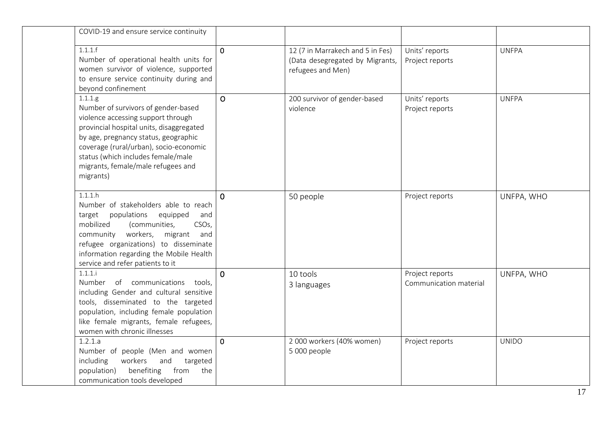| COVID-19 and ensure service continuity                                                                                                                                                                                                                                                                          |                |                                                                                          |                                           |              |
|-----------------------------------------------------------------------------------------------------------------------------------------------------------------------------------------------------------------------------------------------------------------------------------------------------------------|----------------|------------------------------------------------------------------------------------------|-------------------------------------------|--------------|
| 1.1.1.f<br>Number of operational health units for<br>women survivor of violence, supported<br>to ensure service continuity during and<br>beyond confinement                                                                                                                                                     | $\overline{0}$ | 12 (7 in Marrakech and 5 in Fes)<br>(Data desegregated by Migrants,<br>refugees and Men) | Units' reports<br>Project reports         | <b>UNFPA</b> |
| 1.1.1.g<br>Number of survivors of gender-based<br>violence accessing support through<br>provincial hospital units, disaggregated<br>by age, pregnancy status, geographic<br>coverage (rural/urban), socio-economic<br>status (which includes female/male<br>migrants, female/male refugees and<br>migrants)     | $\overline{O}$ | 200 survivor of gender-based<br>violence                                                 | Units' reports<br>Project reports         | <b>UNFPA</b> |
| 1.1.1.h<br>Number of stakeholders able to reach<br>populations<br>equipped<br>target<br>and<br>mobilized<br>(communities,<br>CSO <sub>s</sub> ,<br>workers,<br>migrant and<br>community<br>refugee organizations) to disseminate<br>information regarding the Mobile Health<br>service and refer patients to it | $\Omega$       | 50 people                                                                                | Project reports                           | UNFPA, WHO   |
| 1.1.1.i<br>Number of communications tools,<br>including Gender and cultural sensitive<br>tools, disseminated to the targeted<br>population, including female population<br>like female migrants, female refugees,<br>women with chronic illnesses                                                               | $\Omega$       | 10 tools<br>3 languages                                                                  | Project reports<br>Communication material | UNFPA, WHO   |
| 1.2.1.a<br>Number of people (Men and women<br>including<br>workers<br>and<br>targeted<br>population)<br>benefiting<br>from<br>the<br>communication tools developed                                                                                                                                              | $\overline{0}$ | 2 000 workers (40% women)<br>5 000 people                                                | Project reports                           | <b>UNIDO</b> |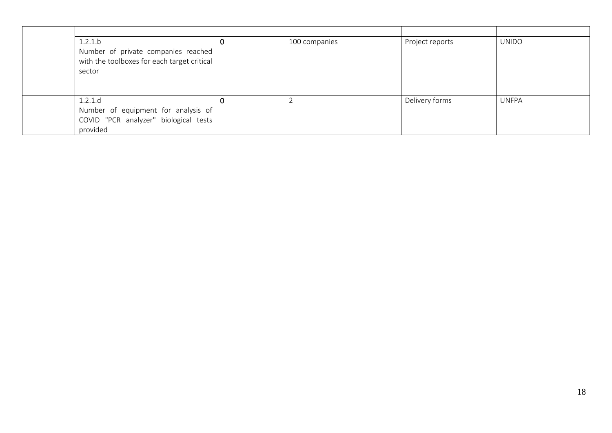| 1.2.1.b<br>Number of private companies reached  <br>with the toolboxes for each target critical<br>sector | 100 companies | Project reports | <b>UNIDO</b> |
|-----------------------------------------------------------------------------------------------------------|---------------|-----------------|--------------|
| 1.2.1.d<br>Number of equipment for analysis of<br>COVID "PCR analyzer" biological tests  <br>provided     |               | Delivery forms  | <b>UNFPA</b> |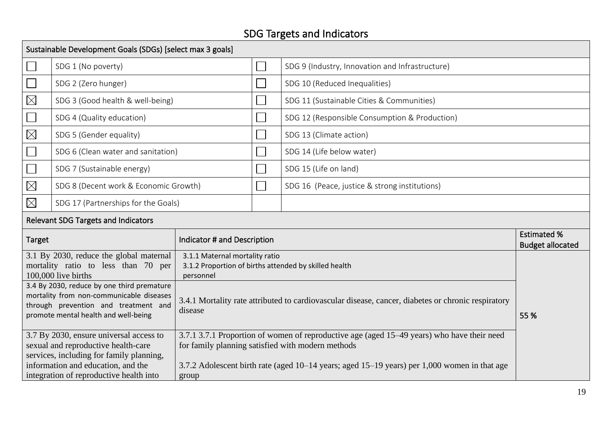# SDG Targets and Indicators

|                                                                                                                                                                                                                      | Sustainable Development Goals (SDGs) [select max 3 goals] |                             |                                                                                                    |                                                                                                                                                                                                                                                 |                                               |  |  |  |
|----------------------------------------------------------------------------------------------------------------------------------------------------------------------------------------------------------------------|-----------------------------------------------------------|-----------------------------|----------------------------------------------------------------------------------------------------|-------------------------------------------------------------------------------------------------------------------------------------------------------------------------------------------------------------------------------------------------|-----------------------------------------------|--|--|--|
|                                                                                                                                                                                                                      | SDG 1 (No poverty)                                        |                             |                                                                                                    | SDG 9 (Industry, Innovation and Infrastructure)                                                                                                                                                                                                 |                                               |  |  |  |
|                                                                                                                                                                                                                      | SDG 2 (Zero hunger)                                       |                             |                                                                                                    | SDG 10 (Reduced Inequalities)                                                                                                                                                                                                                   |                                               |  |  |  |
| $\boxtimes$                                                                                                                                                                                                          | SDG 3 (Good health & well-being)                          |                             |                                                                                                    | SDG 11 (Sustainable Cities & Communities)                                                                                                                                                                                                       |                                               |  |  |  |
|                                                                                                                                                                                                                      | SDG 4 (Quality education)                                 |                             |                                                                                                    | SDG 12 (Responsible Consumption & Production)                                                                                                                                                                                                   |                                               |  |  |  |
| $\boxtimes$                                                                                                                                                                                                          | SDG 5 (Gender equality)                                   |                             |                                                                                                    | SDG 13 (Climate action)                                                                                                                                                                                                                         |                                               |  |  |  |
|                                                                                                                                                                                                                      | SDG 6 (Clean water and sanitation)                        |                             |                                                                                                    | SDG 14 (Life below water)                                                                                                                                                                                                                       |                                               |  |  |  |
|                                                                                                                                                                                                                      | SDG 7 (Sustainable energy)                                |                             |                                                                                                    | SDG 15 (Life on land)                                                                                                                                                                                                                           |                                               |  |  |  |
| $\boxtimes$                                                                                                                                                                                                          | SDG 8 (Decent work & Economic Growth)                     |                             |                                                                                                    | SDG 16 (Peace, justice & strong institutions)                                                                                                                                                                                                   |                                               |  |  |  |
| $\boxtimes$                                                                                                                                                                                                          | SDG 17 (Partnerships for the Goals)                       |                             |                                                                                                    |                                                                                                                                                                                                                                                 |                                               |  |  |  |
|                                                                                                                                                                                                                      | <b>Relevant SDG Targets and Indicators</b>                |                             |                                                                                                    |                                                                                                                                                                                                                                                 |                                               |  |  |  |
| <b>Target</b>                                                                                                                                                                                                        |                                                           | Indicator # and Description |                                                                                                    |                                                                                                                                                                                                                                                 | <b>Estimated %</b><br><b>Budget allocated</b> |  |  |  |
| 3.1 By 2030, reduce the global maternal<br>mortality ratio to less than 70 per<br>100,000 live births                                                                                                                |                                                           | personnel                   | 3.1.1 Maternal mortality ratio<br>3.1.2 Proportion of births attended by skilled health            |                                                                                                                                                                                                                                                 |                                               |  |  |  |
| 3.4 By 2030, reduce by one third premature<br>mortality from non-communicable diseases<br>through prevention and treatment and<br>disease<br>promote mental health and well-being                                    |                                                           |                             | 3.4.1 Mortality rate attributed to cardiovascular disease, cancer, diabetes or chronic respiratory |                                                                                                                                                                                                                                                 |                                               |  |  |  |
| 3.7 By 2030, ensure universal access to<br>sexual and reproductive health-care<br>services, including for family planning,<br>information and education, and the<br>integration of reproductive health into<br>group |                                                           |                             |                                                                                                    | 3.7.1 3.7.1 Proportion of women of reproductive age (aged 15–49 years) who have their need<br>for family planning satisfied with modern methods<br>3.7.2 Adolescent birth rate (aged 10–14 years; aged 15–19 years) per 1,000 women in that age |                                               |  |  |  |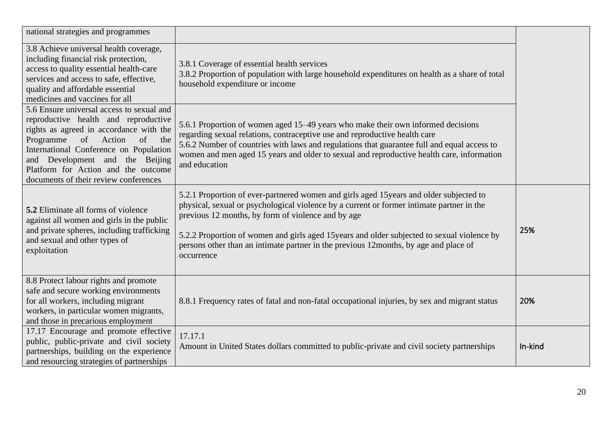| national strategies and programmes                                                                                                                                                                                                                                                                                                  |                                                                                                                                                                                                                                                                                                                                                                                                                                                 |         |
|-------------------------------------------------------------------------------------------------------------------------------------------------------------------------------------------------------------------------------------------------------------------------------------------------------------------------------------|-------------------------------------------------------------------------------------------------------------------------------------------------------------------------------------------------------------------------------------------------------------------------------------------------------------------------------------------------------------------------------------------------------------------------------------------------|---------|
| 3.8 Achieve universal health coverage,<br>including financial risk protection,<br>access to quality essential health-care<br>services and access to safe, effective,<br>quality and affordable essential<br>medicines and vaccines for all                                                                                          | 3.8.1 Coverage of essential health services<br>3.8.2 Proportion of population with large household expenditures on health as a share of total<br>household expenditure or income                                                                                                                                                                                                                                                                |         |
| 5.6 Ensure universal access to sexual and<br>reproductive health and reproductive<br>rights as agreed in accordance with the<br>of<br>Action<br>of<br>Programme<br>the<br>International Conference on Population<br>and Development and the Beijing<br>Platform for Action and the outcome<br>documents of their review conferences | 5.6.1 Proportion of women aged 15–49 years who make their own informed decisions<br>regarding sexual relations, contraceptive use and reproductive health care<br>5.6.2 Number of countries with laws and regulations that guarantee full and equal access to<br>women and men aged 15 years and older to sexual and reproductive health care, information<br>and education                                                                     |         |
| <b>5.2</b> Eliminate all forms of violence<br>against all women and girls in the public<br>and private spheres, including trafficking<br>and sexual and other types of<br>exploitation                                                                                                                                              | 5.2.1 Proportion of ever-partnered women and girls aged 15 years and older subjected to<br>physical, sexual or psychological violence by a current or former intimate partner in the<br>previous 12 months, by form of violence and by age<br>5.2.2 Proportion of women and girls aged 15 years and older subjected to sexual violence by<br>persons other than an intimate partner in the previous 12months, by age and place of<br>occurrence | 25%     |
| 8.8 Protect labour rights and promote<br>safe and secure working environments<br>for all workers, including migrant<br>workers, in particular women migrants,<br>and those in precarious employment                                                                                                                                 | 8.8.1 Frequency rates of fatal and non-fatal occupational injuries, by sex and migrant status                                                                                                                                                                                                                                                                                                                                                   | 20%     |
| 17.17 Encourage and promote effective<br>public, public-private and civil society<br>partnerships, building on the experience<br>and resourcing strategies of partnerships                                                                                                                                                          | 17.17.1<br>Amount in United States dollars committed to public-private and civil society partnerships                                                                                                                                                                                                                                                                                                                                           | In-kind |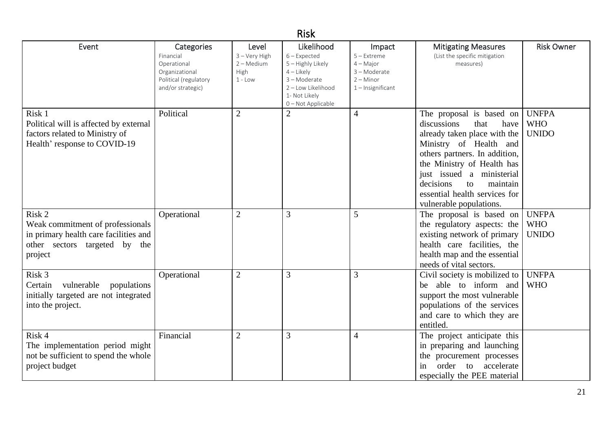| <b>Risk</b>                                                                                                                     |                                                                                                        |                                                             |                                                                                                                                                |                                                                                              |                                                                                                                                                                                                                                                                                                          |                                            |  |  |
|---------------------------------------------------------------------------------------------------------------------------------|--------------------------------------------------------------------------------------------------------|-------------------------------------------------------------|------------------------------------------------------------------------------------------------------------------------------------------------|----------------------------------------------------------------------------------------------|----------------------------------------------------------------------------------------------------------------------------------------------------------------------------------------------------------------------------------------------------------------------------------------------------------|--------------------------------------------|--|--|
| Event                                                                                                                           | Categories<br>Financial<br>Operational<br>Organizational<br>Political (regulatory<br>and/or strategic) | Level<br>3 - Very High<br>$2 - Medium$<br>High<br>$1 - Low$ | Likelihood<br>$6$ – Expected<br>5 - Highly Likely<br>$4$ – Likely<br>3 - Moderate<br>2 - Low Likelihood<br>1- Not Likely<br>0 - Not Applicable | Impact<br>$5 -$ Extreme<br>$4 - Major$<br>3 - Moderate<br>$2 -$ Minor<br>$1$ – Insignificant | <b>Mitigating Measures</b><br>(List the specific mitigation<br>measures)                                                                                                                                                                                                                                 | <b>Risk Owner</b>                          |  |  |
| Risk 1<br>Political will is affected by external<br>factors related to Ministry of<br>Health' response to COVID-19              | Political                                                                                              | $\overline{2}$                                              | $\overline{2}$                                                                                                                                 | $\overline{4}$                                                                               | The proposal is based on<br>discussions<br>that<br>have<br>already taken place with the<br>Ministry of Health and<br>others partners. In addition,<br>the Ministry of Health has<br>just issued a ministerial<br>decisions<br>maintain<br>to<br>essential health services for<br>vulnerable populations. | <b>UNFPA</b><br><b>WHO</b><br><b>UNIDO</b> |  |  |
| Risk 2<br>Weak commitment of professionals<br>in primary health care facilities and<br>other sectors targeted by the<br>project | Operational                                                                                            | $\overline{2}$                                              | 3                                                                                                                                              | 5                                                                                            | The proposal is based on<br>the regulatory aspects: the<br>existing network of primary<br>health care facilities, the<br>health map and the essential<br>needs of vital sectors.                                                                                                                         | <b>UNFPA</b><br><b>WHO</b><br><b>UNIDO</b> |  |  |
| Risk 3<br>vulnerable<br>Certain<br>populations<br>initially targeted are not integrated<br>into the project.                    | Operational                                                                                            | $\overline{2}$                                              | 3                                                                                                                                              | 3                                                                                            | Civil society is mobilized to<br>be able to inform and<br>support the most vulnerable<br>populations of the services<br>and care to which they are<br>entitled.                                                                                                                                          | <b>UNFPA</b><br><b>WHO</b>                 |  |  |
| Risk 4<br>The implementation period might<br>not be sufficient to spend the whole<br>project budget                             | Financial                                                                                              | $\overline{2}$                                              | 3                                                                                                                                              | $\overline{4}$                                                                               | The project anticipate this<br>in preparing and launching<br>the procurement processes<br>order<br>accelerate<br>to<br>in<br>especially the PEE material                                                                                                                                                 |                                            |  |  |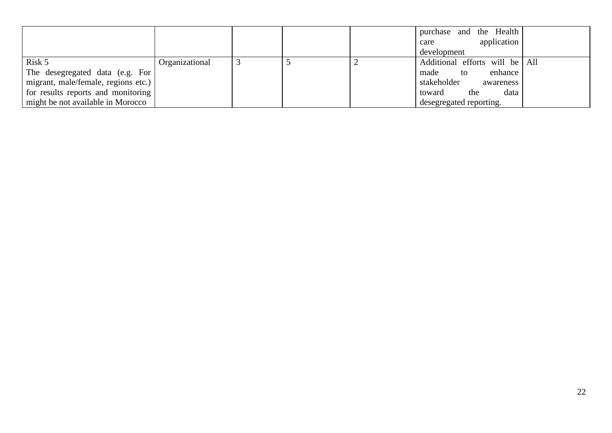|                                     |                |  | purchase and the Health        |
|-------------------------------------|----------------|--|--------------------------------|
|                                     |                |  | application<br>care            |
|                                     |                |  | development                    |
| Risk 5                              | Organizational |  | Additional efforts will be All |
| The desegregated data (e.g. For     |                |  | enhance<br>made<br>to          |
| migrant, male/female, regions etc.) |                |  | stakeholder<br>awareness       |
| for results reports and monitoring  |                |  | data<br>toward<br>the          |
| might be not available in Morocco   |                |  | desegregated reporting.        |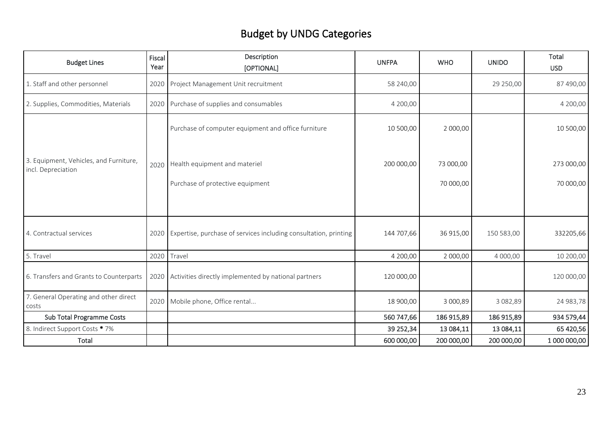# Budget by UNDG Categories

| <b>Budget Lines</b>                                          | Fiscal<br>Year | Description<br>[OPTIONAL]                                             | <b>UNFPA</b> | <b>WHO</b> | <b>UNIDO</b> | Total<br><b>USD</b> |
|--------------------------------------------------------------|----------------|-----------------------------------------------------------------------|--------------|------------|--------------|---------------------|
| 1. Staff and other personnel                                 | 2020           | Project Management Unit recruitment                                   | 58 240,00    |            | 29 250,00    | 87 490,00           |
| 2. Supplies, Commodities, Materials                          |                | 2020 Purchase of supplies and consumables                             | 4 200,00     |            |              | 4 200,00            |
|                                                              |                | Purchase of computer equipment and office furniture                   | 10 500,00    | 2 000,00   |              | 10 500,00           |
| 3. Equipment, Vehicles, and Furniture,<br>incl. Depreciation |                | 2020 Health equipment and materiel                                    | 200 000,00   | 73 000,00  |              | 273 000,00          |
|                                                              |                | Purchase of protective equipment                                      |              | 70 000,00  |              | 70 000,00           |
| 4. Contractual services                                      |                | 2020 Expertise, purchase of services including consultation, printing | 144 707,66   | 36 915,00  | 150 583,00   | 332205,66           |
| 5. Travel                                                    | 2020           | Travel                                                                | 4 200,00     | 2 000,00   | 4 000,00     | 10 200,00           |
| 6. Transfers and Grants to Counterparts                      |                | 2020 Activities directly implemented by national partners             | 120 000,00   |            |              | 120 000,00          |
| 7. General Operating and other direct<br>costs               |                | 2020 Mobile phone, Office rental                                      | 18 900,00    | 3 000,89   | 3 082,89     | 24 983,78           |
| Sub Total Programme Costs                                    |                |                                                                       | 560 747,66   | 186 915,89 | 186 915,89   | 934 579,44          |
| 8. Indirect Support Costs * 7%                               |                |                                                                       | 39 252,34    | 13 084,11  | 13 084,11    | 65 420,56           |
| Total                                                        |                |                                                                       | 600 000,00   | 200 000,00 | 200 000,00   | 1 000 000,00        |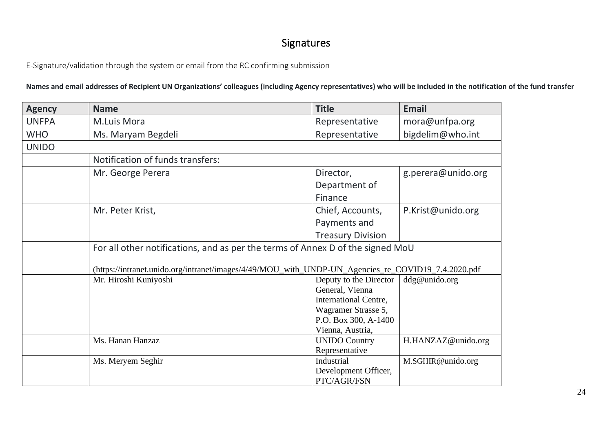## Signatures

E-Signature/validation through the system or email from the RC confirming submission

**Names and email addresses of Recipient UN Organizations' colleagues (including Agency representatives) who will be included in the notification of the fund transfer**

| <b>Agency</b> | <b>Name</b>                                                                                        | <b>Title</b>                 | <b>Email</b>       |
|---------------|----------------------------------------------------------------------------------------------------|------------------------------|--------------------|
| <b>UNFPA</b>  | M.Luis Mora                                                                                        | Representative               | mora@unfpa.org     |
| <b>WHO</b>    | Ms. Maryam Begdeli                                                                                 | Representative               | bigdelim@who.int   |
| <b>UNIDO</b>  |                                                                                                    |                              |                    |
|               | Notification of funds transfers:                                                                   |                              |                    |
|               | Mr. George Perera                                                                                  | Director,                    | g.perera@unido.org |
|               |                                                                                                    | Department of                |                    |
|               |                                                                                                    | Finance                      |                    |
|               | Mr. Peter Krist,                                                                                   | Chief, Accounts,             | P.Krist@unido.org  |
|               |                                                                                                    | Payments and                 |                    |
|               |                                                                                                    | <b>Treasury Division</b>     |                    |
|               | For all other notifications, and as per the terms of Annex D of the signed MoU                     |                              |                    |
|               | (https://intranet.unido.org/intranet/images/4/49/MOU_with_UNDP-UN_Agencies_re_COVID19_7.4.2020.pdf |                              |                    |
|               | Mr. Hiroshi Kuniyoshi                                                                              | Deputy to the Director       | ddg@unido.org      |
|               |                                                                                                    | General, Vienna              |                    |
|               |                                                                                                    | <b>International Centre,</b> |                    |
|               |                                                                                                    | Wagramer Strasse 5,          |                    |
|               |                                                                                                    | P.O. Box 300, A-1400         |                    |
|               |                                                                                                    | Vienna, Austria,             |                    |
|               | Ms. Hanan Hanzaz                                                                                   | <b>UNIDO Country</b>         | H.HANZAZ@unido.org |
|               |                                                                                                    | Representative               |                    |
|               | Ms. Meryem Seghir                                                                                  | Industrial                   | M.SGHIR@unido.org  |
|               |                                                                                                    | Development Officer,         |                    |
|               |                                                                                                    | PTC/AGR/FSN                  |                    |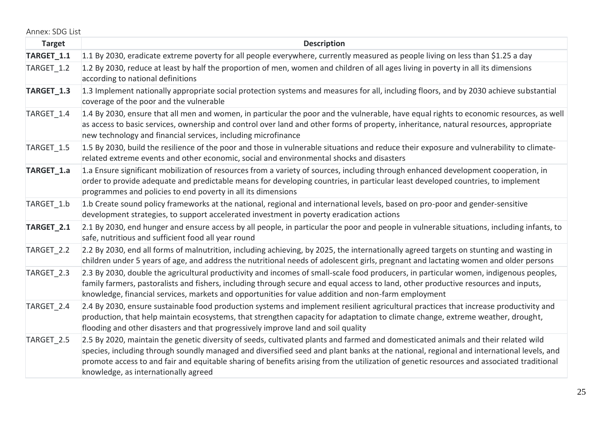| Annex: SDG List |  |
|-----------------|--|
|-----------------|--|

| <b>Target</b> | <b>Description</b>                                                                                                                                                                                                                                                                                                                                                                                                                                                 |
|---------------|--------------------------------------------------------------------------------------------------------------------------------------------------------------------------------------------------------------------------------------------------------------------------------------------------------------------------------------------------------------------------------------------------------------------------------------------------------------------|
| TARGET_1.1    | 1.1 By 2030, eradicate extreme poverty for all people everywhere, currently measured as people living on less than \$1.25 a day                                                                                                                                                                                                                                                                                                                                    |
| TARGET 1.2    | 1.2 By 2030, reduce at least by half the proportion of men, women and children of all ages living in poverty in all its dimensions<br>according to national definitions                                                                                                                                                                                                                                                                                            |
| TARGET_1.3    | 1.3 Implement nationally appropriate social protection systems and measures for all, including floors, and by 2030 achieve substantial<br>coverage of the poor and the vulnerable                                                                                                                                                                                                                                                                                  |
| TARGET 1.4    | 1.4 By 2030, ensure that all men and women, in particular the poor and the vulnerable, have equal rights to economic resources, as well<br>as access to basic services, ownership and control over land and other forms of property, inheritance, natural resources, appropriate<br>new technology and financial services, including microfinance                                                                                                                  |
| TARGET_1.5    | 1.5 By 2030, build the resilience of the poor and those in vulnerable situations and reduce their exposure and vulnerability to climate-<br>related extreme events and other economic, social and environmental shocks and disasters                                                                                                                                                                                                                               |
| TARGET_1.a    | 1.a Ensure significant mobilization of resources from a variety of sources, including through enhanced development cooperation, in<br>order to provide adequate and predictable means for developing countries, in particular least developed countries, to implement<br>programmes and policies to end poverty in all its dimensions                                                                                                                              |
| TARGET 1.b    | 1.b Create sound policy frameworks at the national, regional and international levels, based on pro-poor and gender-sensitive<br>development strategies, to support accelerated investment in poverty eradication actions                                                                                                                                                                                                                                          |
| TARGET_2.1    | 2.1 By 2030, end hunger and ensure access by all people, in particular the poor and people in vulnerable situations, including infants, to<br>safe, nutritious and sufficient food all year round                                                                                                                                                                                                                                                                  |
| TARGET 2.2    | 2.2 By 2030, end all forms of malnutrition, including achieving, by 2025, the internationally agreed targets on stunting and wasting in<br>children under 5 years of age, and address the nutritional needs of adolescent girls, pregnant and lactating women and older persons                                                                                                                                                                                    |
| TARGET_2.3    | 2.3 By 2030, double the agricultural productivity and incomes of small-scale food producers, in particular women, indigenous peoples,<br>family farmers, pastoralists and fishers, including through secure and equal access to land, other productive resources and inputs,<br>knowledge, financial services, markets and opportunities for value addition and non-farm employment                                                                                |
| TARGET 2.4    | 2.4 By 2030, ensure sustainable food production systems and implement resilient agricultural practices that increase productivity and<br>production, that help maintain ecosystems, that strengthen capacity for adaptation to climate change, extreme weather, drought,<br>flooding and other disasters and that progressively improve land and soil quality                                                                                                      |
| TARGET 2.5    | 2.5 By 2020, maintain the genetic diversity of seeds, cultivated plants and farmed and domesticated animals and their related wild<br>species, including through soundly managed and diversified seed and plant banks at the national, regional and international levels, and<br>promote access to and fair and equitable sharing of benefits arising from the utilization of genetic resources and associated traditional<br>knowledge, as internationally agreed |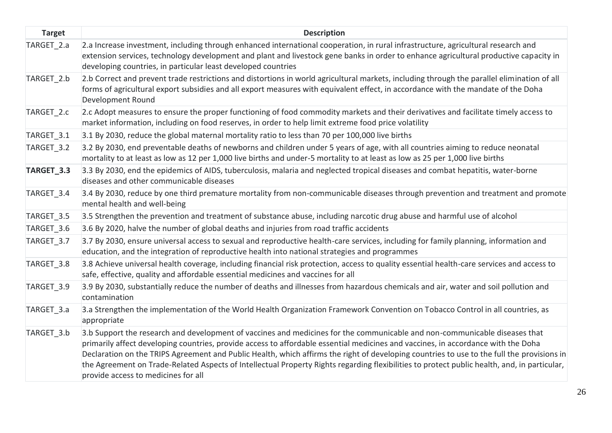| <b>Target</b> | <b>Description</b>                                                                                                                                                                                                                                                                                                                                                                                                                                                                                                                                                                                   |
|---------------|------------------------------------------------------------------------------------------------------------------------------------------------------------------------------------------------------------------------------------------------------------------------------------------------------------------------------------------------------------------------------------------------------------------------------------------------------------------------------------------------------------------------------------------------------------------------------------------------------|
| TARGET 2.a    | 2.a Increase investment, including through enhanced international cooperation, in rural infrastructure, agricultural research and<br>extension services, technology development and plant and livestock gene banks in order to enhance agricultural productive capacity in<br>developing countries, in particular least developed countries                                                                                                                                                                                                                                                          |
| TARGET 2.b    | 2.b Correct and prevent trade restrictions and distortions in world agricultural markets, including through the parallel elimination of all<br>forms of agricultural export subsidies and all export measures with equivalent effect, in accordance with the mandate of the Doha<br>Development Round                                                                                                                                                                                                                                                                                                |
| TARGET_2.c    | 2.c Adopt measures to ensure the proper functioning of food commodity markets and their derivatives and facilitate timely access to<br>market information, including on food reserves, in order to help limit extreme food price volatility                                                                                                                                                                                                                                                                                                                                                          |
| TARGET_3.1    | 3.1 By 2030, reduce the global maternal mortality ratio to less than 70 per 100,000 live births                                                                                                                                                                                                                                                                                                                                                                                                                                                                                                      |
| TARGET_3.2    | 3.2 By 2030, end preventable deaths of newborns and children under 5 years of age, with all countries aiming to reduce neonatal<br>mortality to at least as low as 12 per 1,000 live births and under-5 mortality to at least as low as 25 per 1,000 live births                                                                                                                                                                                                                                                                                                                                     |
| TARGET_3.3    | 3.3 By 2030, end the epidemics of AIDS, tuberculosis, malaria and neglected tropical diseases and combat hepatitis, water-borne<br>diseases and other communicable diseases                                                                                                                                                                                                                                                                                                                                                                                                                          |
| TARGET_3.4    | 3.4 By 2030, reduce by one third premature mortality from non-communicable diseases through prevention and treatment and promote<br>mental health and well-being                                                                                                                                                                                                                                                                                                                                                                                                                                     |
| TARGET 3.5    | 3.5 Strengthen the prevention and treatment of substance abuse, including narcotic drug abuse and harmful use of alcohol                                                                                                                                                                                                                                                                                                                                                                                                                                                                             |
| TARGET_3.6    | 3.6 By 2020, halve the number of global deaths and injuries from road traffic accidents                                                                                                                                                                                                                                                                                                                                                                                                                                                                                                              |
| TARGET_3.7    | 3.7 By 2030, ensure universal access to sexual and reproductive health-care services, including for family planning, information and<br>education, and the integration of reproductive health into national strategies and programmes                                                                                                                                                                                                                                                                                                                                                                |
| TARGET 3.8    | 3.8 Achieve universal health coverage, including financial risk protection, access to quality essential health-care services and access to<br>safe, effective, quality and affordable essential medicines and vaccines for all                                                                                                                                                                                                                                                                                                                                                                       |
| TARGET 3.9    | 3.9 By 2030, substantially reduce the number of deaths and illnesses from hazardous chemicals and air, water and soil pollution and<br>contamination                                                                                                                                                                                                                                                                                                                                                                                                                                                 |
| TARGET 3.a    | 3.a Strengthen the implementation of the World Health Organization Framework Convention on Tobacco Control in all countries, as<br>appropriate                                                                                                                                                                                                                                                                                                                                                                                                                                                       |
| TARGET 3.b    | 3.b Support the research and development of vaccines and medicines for the communicable and non-communicable diseases that<br>primarily affect developing countries, provide access to affordable essential medicines and vaccines, in accordance with the Doha<br>Declaration on the TRIPS Agreement and Public Health, which affirms the right of developing countries to use to the full the provisions in<br>the Agreement on Trade-Related Aspects of Intellectual Property Rights regarding flexibilities to protect public health, and, in particular,<br>provide access to medicines for all |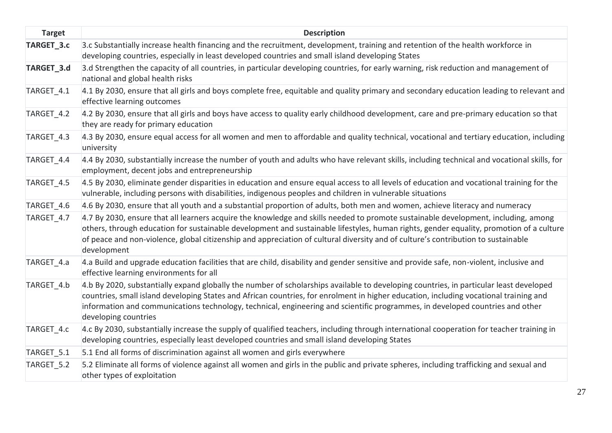| <b>Target</b> | <b>Description</b>                                                                                                                                                                                                                                                                                                                                                                                                                       |
|---------------|------------------------------------------------------------------------------------------------------------------------------------------------------------------------------------------------------------------------------------------------------------------------------------------------------------------------------------------------------------------------------------------------------------------------------------------|
| TARGET 3.c    | 3.c Substantially increase health financing and the recruitment, development, training and retention of the health workforce in<br>developing countries, especially in least developed countries and small island developing States                                                                                                                                                                                                      |
| TARGET_3.d    | 3.d Strengthen the capacity of all countries, in particular developing countries, for early warning, risk reduction and management of<br>national and global health risks                                                                                                                                                                                                                                                                |
| TARGET 4.1    | 4.1 By 2030, ensure that all girls and boys complete free, equitable and quality primary and secondary education leading to relevant and<br>effective learning outcomes                                                                                                                                                                                                                                                                  |
| TARGET 4.2    | 4.2 By 2030, ensure that all girls and boys have access to quality early childhood development, care and pre-primary education so that<br>they are ready for primary education                                                                                                                                                                                                                                                           |
| TARGET 4.3    | 4.3 By 2030, ensure equal access for all women and men to affordable and quality technical, vocational and tertiary education, including<br>university                                                                                                                                                                                                                                                                                   |
| TARGET_4.4    | 4.4 By 2030, substantially increase the number of youth and adults who have relevant skills, including technical and vocational skills, for<br>employment, decent jobs and entrepreneurship                                                                                                                                                                                                                                              |
| TARGET 4.5    | 4.5 By 2030, eliminate gender disparities in education and ensure equal access to all levels of education and vocational training for the<br>vulnerable, including persons with disabilities, indigenous peoples and children in vulnerable situations                                                                                                                                                                                   |
| TARGET_4.6    | 4.6 By 2030, ensure that all youth and a substantial proportion of adults, both men and women, achieve literacy and numeracy                                                                                                                                                                                                                                                                                                             |
| TARGET_4.7    | 4.7 By 2030, ensure that all learners acquire the knowledge and skills needed to promote sustainable development, including, among<br>others, through education for sustainable development and sustainable lifestyles, human rights, gender equality, promotion of a culture<br>of peace and non-violence, global citizenship and appreciation of cultural diversity and of culture's contribution to sustainable<br>development        |
| TARGET_4.a    | 4.a Build and upgrade education facilities that are child, disability and gender sensitive and provide safe, non-violent, inclusive and<br>effective learning environments for all                                                                                                                                                                                                                                                       |
| TARGET 4.b    | 4.b By 2020, substantially expand globally the number of scholarships available to developing countries, in particular least developed<br>countries, small island developing States and African countries, for enrolment in higher education, including vocational training and<br>information and communications technology, technical, engineering and scientific programmes, in developed countries and other<br>developing countries |
| TARGET_4.c    | 4.c By 2030, substantially increase the supply of qualified teachers, including through international cooperation for teacher training in<br>developing countries, especially least developed countries and small island developing States                                                                                                                                                                                               |
| TARGET_5.1    | 5.1 End all forms of discrimination against all women and girls everywhere                                                                                                                                                                                                                                                                                                                                                               |
| TARGET_5.2    | 5.2 Eliminate all forms of violence against all women and girls in the public and private spheres, including trafficking and sexual and<br>other types of exploitation                                                                                                                                                                                                                                                                   |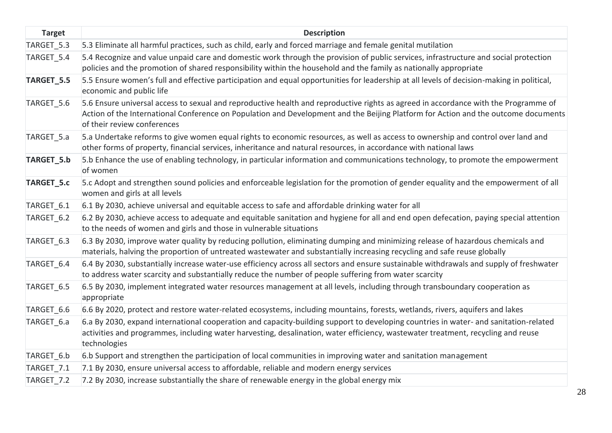| <b>Target</b> | <b>Description</b>                                                                                                                                                                                                                                                                                       |
|---------------|----------------------------------------------------------------------------------------------------------------------------------------------------------------------------------------------------------------------------------------------------------------------------------------------------------|
| TARGET_5.3    | 5.3 Eliminate all harmful practices, such as child, early and forced marriage and female genital mutilation                                                                                                                                                                                              |
| TARGET 5.4    | 5.4 Recognize and value unpaid care and domestic work through the provision of public services, infrastructure and social protection<br>policies and the promotion of shared responsibility within the household and the family as nationally appropriate                                                |
| TARGET_5.5    | 5.5 Ensure women's full and effective participation and equal opportunities for leadership at all levels of decision-making in political,<br>economic and public life                                                                                                                                    |
| TARGET 5.6    | 5.6 Ensure universal access to sexual and reproductive health and reproductive rights as agreed in accordance with the Programme of<br>Action of the International Conference on Population and Development and the Beijing Platform for Action and the outcome documents<br>of their review conferences |
| TARGET_5.a    | 5.a Undertake reforms to give women equal rights to economic resources, as well as access to ownership and control over land and<br>other forms of property, financial services, inheritance and natural resources, in accordance with national laws                                                     |
| TARGET_5.b    | 5.b Enhance the use of enabling technology, in particular information and communications technology, to promote the empowerment<br>of women                                                                                                                                                              |
| TARGET_5.c    | 5.c Adopt and strengthen sound policies and enforceable legislation for the promotion of gender equality and the empowerment of all<br>women and girls at all levels                                                                                                                                     |
| TARGET 6.1    | 6.1 By 2030, achieve universal and equitable access to safe and affordable drinking water for all                                                                                                                                                                                                        |
| TARGET 6.2    | 6.2 By 2030, achieve access to adequate and equitable sanitation and hygiene for all and end open defecation, paying special attention<br>to the needs of women and girls and those in vulnerable situations                                                                                             |
| TARGET 6.3    | 6.3 By 2030, improve water quality by reducing pollution, eliminating dumping and minimizing release of hazardous chemicals and<br>materials, halving the proportion of untreated wastewater and substantially increasing recycling and safe reuse globally                                              |
| TARGET 6.4    | 6.4 By 2030, substantially increase water-use efficiency across all sectors and ensure sustainable withdrawals and supply of freshwater<br>to address water scarcity and substantially reduce the number of people suffering from water scarcity                                                         |
| TARGET 6.5    | 6.5 By 2030, implement integrated water resources management at all levels, including through transboundary cooperation as<br>appropriate                                                                                                                                                                |
| TARGET 6.6    | 6.6 By 2020, protect and restore water-related ecosystems, including mountains, forests, wetlands, rivers, aquifers and lakes                                                                                                                                                                            |
| TARGET 6.a    | 6.a By 2030, expand international cooperation and capacity-building support to developing countries in water- and sanitation-related<br>activities and programmes, including water harvesting, desalination, water efficiency, wastewater treatment, recycling and reuse<br>technologies                 |
| TARGET 6.b    | 6.b Support and strengthen the participation of local communities in improving water and sanitation management                                                                                                                                                                                           |
| TARGET 7.1    | 7.1 By 2030, ensure universal access to affordable, reliable and modern energy services                                                                                                                                                                                                                  |
| TARGET 7.2    | 7.2 By 2030, increase substantially the share of renewable energy in the global energy mix                                                                                                                                                                                                               |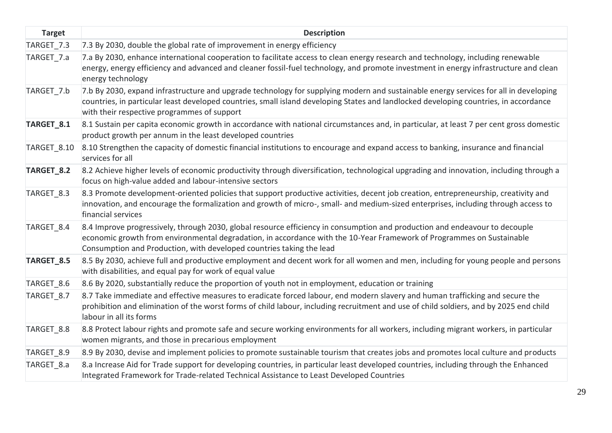| <b>Target</b>         | <b>Description</b>                                                                                                                                                                                                                                                                                                           |
|-----------------------|------------------------------------------------------------------------------------------------------------------------------------------------------------------------------------------------------------------------------------------------------------------------------------------------------------------------------|
| TARGET_7.3            | 7.3 By 2030, double the global rate of improvement in energy efficiency                                                                                                                                                                                                                                                      |
| TARGET_7.a            | 7.a By 2030, enhance international cooperation to facilitate access to clean energy research and technology, including renewable<br>energy, energy efficiency and advanced and cleaner fossil-fuel technology, and promote investment in energy infrastructure and clean<br>energy technology                                |
| TARGET 7.b            | 7.b By 2030, expand infrastructure and upgrade technology for supplying modern and sustainable energy services for all in developing<br>countries, in particular least developed countries, small island developing States and landlocked developing countries, in accordance<br>with their respective programmes of support |
| TARGET_8.1            | 8.1 Sustain per capita economic growth in accordance with national circumstances and, in particular, at least 7 per cent gross domestic<br>product growth per annum in the least developed countries                                                                                                                         |
| TARGET 8.10           | 8.10 Strengthen the capacity of domestic financial institutions to encourage and expand access to banking, insurance and financial<br>services for all                                                                                                                                                                       |
| TARGET <sub>8.2</sub> | 8.2 Achieve higher levels of economic productivity through diversification, technological upgrading and innovation, including through a<br>focus on high-value added and labour-intensive sectors                                                                                                                            |
| TARGET 8.3            | 8.3 Promote development-oriented policies that support productive activities, decent job creation, entrepreneurship, creativity and<br>innovation, and encourage the formalization and growth of micro-, small- and medium-sized enterprises, including through access to<br>financial services                              |
| TARGET 8.4            | 8.4 Improve progressively, through 2030, global resource efficiency in consumption and production and endeavour to decouple<br>economic growth from environmental degradation, in accordance with the 10-Year Framework of Programmes on Sustainable<br>Consumption and Production, with developed countries taking the lead |
| TARGET_8.5            | 8.5 By 2030, achieve full and productive employment and decent work for all women and men, including for young people and persons<br>with disabilities, and equal pay for work of equal value                                                                                                                                |
| TARGET 8.6            | 8.6 By 2020, substantially reduce the proportion of youth not in employment, education or training                                                                                                                                                                                                                           |
| TARGET_8.7            | 8.7 Take immediate and effective measures to eradicate forced labour, end modern slavery and human trafficking and secure the<br>prohibition and elimination of the worst forms of child labour, including recruitment and use of child soldiers, and by 2025 end child<br>labour in all its forms                           |
| TARGET_8.8            | 8.8 Protect labour rights and promote safe and secure working environments for all workers, including migrant workers, in particular<br>women migrants, and those in precarious employment                                                                                                                                   |
| TARGET 8.9            | 8.9 By 2030, devise and implement policies to promote sustainable tourism that creates jobs and promotes local culture and products                                                                                                                                                                                          |
| TARGET_8.a            | 8.a Increase Aid for Trade support for developing countries, in particular least developed countries, including through the Enhanced<br>Integrated Framework for Trade-related Technical Assistance to Least Developed Countries                                                                                             |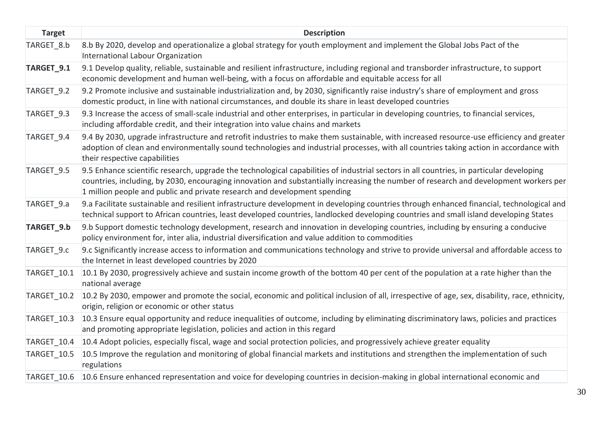| <b>Target</b> | <b>Description</b>                                                                                                                                                                                                                                                                                                                                             |
|---------------|----------------------------------------------------------------------------------------------------------------------------------------------------------------------------------------------------------------------------------------------------------------------------------------------------------------------------------------------------------------|
| TARGET 8.b    | 8.b By 2020, develop and operationalize a global strategy for youth employment and implement the Global Jobs Pact of the<br>International Labour Organization                                                                                                                                                                                                  |
| TARGET_9.1    | 9.1 Develop quality, reliable, sustainable and resilient infrastructure, including regional and transborder infrastructure, to support<br>economic development and human well-being, with a focus on affordable and equitable access for all                                                                                                                   |
| TARGET 9.2    | 9.2 Promote inclusive and sustainable industrialization and, by 2030, significantly raise industry's share of employment and gross<br>domestic product, in line with national circumstances, and double its share in least developed countries                                                                                                                 |
| TARGET 9.3    | 9.3 Increase the access of small-scale industrial and other enterprises, in particular in developing countries, to financial services,<br>including affordable credit, and their integration into value chains and markets                                                                                                                                     |
| TARGET_9.4    | 9.4 By 2030, upgrade infrastructure and retrofit industries to make them sustainable, with increased resource-use efficiency and greater<br>adoption of clean and environmentally sound technologies and industrial processes, with all countries taking action in accordance with<br>their respective capabilities                                            |
| TARGET 9.5    | 9.5 Enhance scientific research, upgrade the technological capabilities of industrial sectors in all countries, in particular developing<br>countries, including, by 2030, encouraging innovation and substantially increasing the number of research and development workers per<br>1 million people and public and private research and development spending |
| TARGET 9.a    | 9.a Facilitate sustainable and resilient infrastructure development in developing countries through enhanced financial, technological and<br>technical support to African countries, least developed countries, landlocked developing countries and small island developing States                                                                             |
| TARGET_9.b    | 9.b Support domestic technology development, research and innovation in developing countries, including by ensuring a conducive<br>policy environment for, inter alia, industrial diversification and value addition to commodities                                                                                                                            |
| TARGET 9.c    | 9.c Significantly increase access to information and communications technology and strive to provide universal and affordable access to<br>the Internet in least developed countries by 2020                                                                                                                                                                   |
| TARGET 10.1   | 10.1 By 2030, progressively achieve and sustain income growth of the bottom 40 per cent of the population at a rate higher than the<br>national average                                                                                                                                                                                                        |
| TARGET 10.2   | 10.2 By 2030, empower and promote the social, economic and political inclusion of all, irrespective of age, sex, disability, race, ethnicity,<br>origin, religion or economic or other status                                                                                                                                                                  |
| TARGET 10.3   | 10.3 Ensure equal opportunity and reduce inequalities of outcome, including by eliminating discriminatory laws, policies and practices<br>and promoting appropriate legislation, policies and action in this regard                                                                                                                                            |
| TARGET_10.4   | 10.4 Adopt policies, especially fiscal, wage and social protection policies, and progressively achieve greater equality                                                                                                                                                                                                                                        |
| TARGET 10.5   | 10.5 Improve the regulation and monitoring of global financial markets and institutions and strengthen the implementation of such<br>regulations                                                                                                                                                                                                               |
| TARGET 10.6   | 10.6 Ensure enhanced representation and voice for developing countries in decision-making in global international economic and                                                                                                                                                                                                                                 |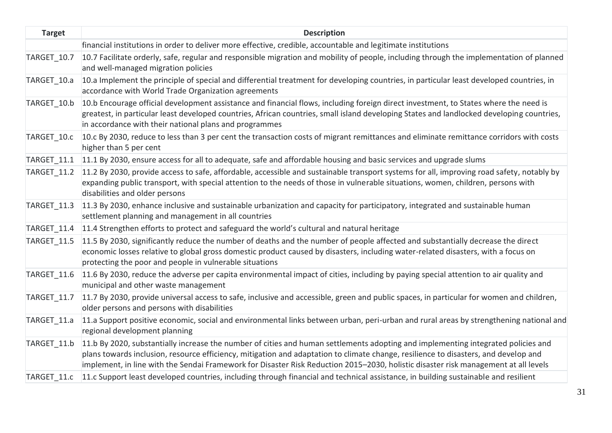| <b>Target</b> | <b>Description</b>                                                                                                                                                                                                                                                                                                                                                                                              |
|---------------|-----------------------------------------------------------------------------------------------------------------------------------------------------------------------------------------------------------------------------------------------------------------------------------------------------------------------------------------------------------------------------------------------------------------|
|               | financial institutions in order to deliver more effective, credible, accountable and legitimate institutions                                                                                                                                                                                                                                                                                                    |
| TARGET 10.7   | 10.7 Facilitate orderly, safe, regular and responsible migration and mobility of people, including through the implementation of planned<br>and well-managed migration policies                                                                                                                                                                                                                                 |
| TARGET 10.a   | 10.a Implement the principle of special and differential treatment for developing countries, in particular least developed countries, in<br>accordance with World Trade Organization agreements                                                                                                                                                                                                                 |
| TARGET 10.b   | 10.b Encourage official development assistance and financial flows, including foreign direct investment, to States where the need is<br>greatest, in particular least developed countries, African countries, small island developing States and landlocked developing countries,<br>in accordance with their national plans and programmes                                                                     |
| TARGET 10.c   | 10.c By 2030, reduce to less than 3 per cent the transaction costs of migrant remittances and eliminate remittance corridors with costs<br>higher than 5 per cent                                                                                                                                                                                                                                               |
|               | TARGET_11.1 11.1 By 2030, ensure access for all to adequate, safe and affordable housing and basic services and upgrade slums                                                                                                                                                                                                                                                                                   |
|               | TARGET 11.2 11.2 By 2030, provide access to safe, affordable, accessible and sustainable transport systems for all, improving road safety, notably by<br>expanding public transport, with special attention to the needs of those in vulnerable situations, women, children, persons with<br>disabilities and older persons                                                                                     |
| TARGET 11.3   | 11.3 By 2030, enhance inclusive and sustainable urbanization and capacity for participatory, integrated and sustainable human<br>settlement planning and management in all countries                                                                                                                                                                                                                            |
|               | TARGET 11.4 11.4 Strengthen efforts to protect and safeguard the world's cultural and natural heritage                                                                                                                                                                                                                                                                                                          |
| TARGET_11.5   | 11.5 By 2030, significantly reduce the number of deaths and the number of people affected and substantially decrease the direct<br>economic losses relative to global gross domestic product caused by disasters, including water-related disasters, with a focus on<br>protecting the poor and people in vulnerable situations                                                                                 |
| TARGET 11.6   | 11.6 By 2030, reduce the adverse per capita environmental impact of cities, including by paying special attention to air quality and<br>municipal and other waste management                                                                                                                                                                                                                                    |
| TARGET 11.7   | 11.7 By 2030, provide universal access to safe, inclusive and accessible, green and public spaces, in particular for women and children,<br>older persons and persons with disabilities                                                                                                                                                                                                                         |
| TARGET 11.a   | 11.a Support positive economic, social and environmental links between urban, peri-urban and rural areas by strengthening national and<br>regional development planning                                                                                                                                                                                                                                         |
| TARGET_11.b   | 11.b By 2020, substantially increase the number of cities and human settlements adopting and implementing integrated policies and<br>plans towards inclusion, resource efficiency, mitigation and adaptation to climate change, resilience to disasters, and develop and<br>implement, in line with the Sendai Framework for Disaster Risk Reduction 2015-2030, holistic disaster risk management at all levels |
|               | TARGET 11.c 11.c Support least developed countries, including through financial and technical assistance, in building sustainable and resilient                                                                                                                                                                                                                                                                 |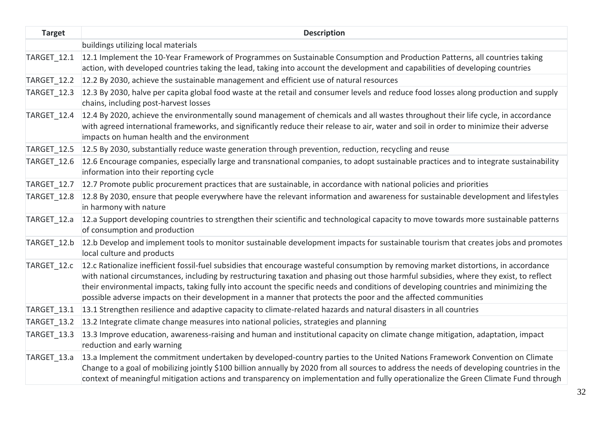| <b>Target</b>      | <b>Description</b>                                                                                                                                                                                                                                                                                                                                                                                                                                                                                                                     |
|--------------------|----------------------------------------------------------------------------------------------------------------------------------------------------------------------------------------------------------------------------------------------------------------------------------------------------------------------------------------------------------------------------------------------------------------------------------------------------------------------------------------------------------------------------------------|
|                    | buildings utilizing local materials                                                                                                                                                                                                                                                                                                                                                                                                                                                                                                    |
| TARGET_12.1        | 12.1 Implement the 10-Year Framework of Programmes on Sustainable Consumption and Production Patterns, all countries taking<br>action, with developed countries taking the lead, taking into account the development and capabilities of developing countries                                                                                                                                                                                                                                                                          |
| <b>TARGET_12.2</b> | 12.2 By 2030, achieve the sustainable management and efficient use of natural resources                                                                                                                                                                                                                                                                                                                                                                                                                                                |
| TARGET 12.3        | 12.3 By 2030, halve per capita global food waste at the retail and consumer levels and reduce food losses along production and supply<br>chains, including post-harvest losses                                                                                                                                                                                                                                                                                                                                                         |
| TARGET 12.4        | 12.4 By 2020, achieve the environmentally sound management of chemicals and all wastes throughout their life cycle, in accordance<br>with agreed international frameworks, and significantly reduce their release to air, water and soil in order to minimize their adverse<br>impacts on human health and the environment                                                                                                                                                                                                             |
| TARGET_12.5        | 12.5 By 2030, substantially reduce waste generation through prevention, reduction, recycling and reuse                                                                                                                                                                                                                                                                                                                                                                                                                                 |
| TARGET_12.6        | 12.6 Encourage companies, especially large and transnational companies, to adopt sustainable practices and to integrate sustainability<br>information into their reporting cycle                                                                                                                                                                                                                                                                                                                                                       |
| TARGET 12.7        | 12.7 Promote public procurement practices that are sustainable, in accordance with national policies and priorities                                                                                                                                                                                                                                                                                                                                                                                                                    |
| TARGET 12.8        | 12.8 By 2030, ensure that people everywhere have the relevant information and awareness for sustainable development and lifestyles<br>in harmony with nature                                                                                                                                                                                                                                                                                                                                                                           |
| TARGET_12.a        | 12.a Support developing countries to strengthen their scientific and technological capacity to move towards more sustainable patterns<br>of consumption and production                                                                                                                                                                                                                                                                                                                                                                 |
| TARGET 12.b        | 12.b Develop and implement tools to monitor sustainable development impacts for sustainable tourism that creates jobs and promotes<br>local culture and products                                                                                                                                                                                                                                                                                                                                                                       |
| TARGET_12.c        | 12.c Rationalize inefficient fossil-fuel subsidies that encourage wasteful consumption by removing market distortions, in accordance<br>with national circumstances, including by restructuring taxation and phasing out those harmful subsidies, where they exist, to reflect<br>their environmental impacts, taking fully into account the specific needs and conditions of developing countries and minimizing the<br>possible adverse impacts on their development in a manner that protects the poor and the affected communities |
| TARGET 13.1        | 13.1 Strengthen resilience and adaptive capacity to climate-related hazards and natural disasters in all countries                                                                                                                                                                                                                                                                                                                                                                                                                     |
| TARGET_13.2        | 13.2 Integrate climate change measures into national policies, strategies and planning                                                                                                                                                                                                                                                                                                                                                                                                                                                 |
| TARGET_13.3        | 13.3 Improve education, awareness-raising and human and institutional capacity on climate change mitigation, adaptation, impact<br>reduction and early warning                                                                                                                                                                                                                                                                                                                                                                         |
| TARGET 13.a        | 13.a Implement the commitment undertaken by developed-country parties to the United Nations Framework Convention on Climate<br>Change to a goal of mobilizing jointly \$100 billion annually by 2020 from all sources to address the needs of developing countries in the<br>context of meaningful mitigation actions and transparency on implementation and fully operationalize the Green Climate Fund through                                                                                                                       |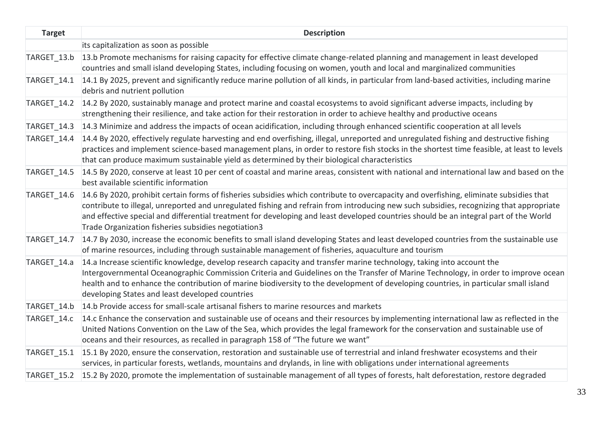| <b>Target</b> | <b>Description</b>                                                                                                                                                                                                                                                                                                                                                                                                                                                                |
|---------------|-----------------------------------------------------------------------------------------------------------------------------------------------------------------------------------------------------------------------------------------------------------------------------------------------------------------------------------------------------------------------------------------------------------------------------------------------------------------------------------|
|               | its capitalization as soon as possible                                                                                                                                                                                                                                                                                                                                                                                                                                            |
| TARGET 13.b   | 13.b Promote mechanisms for raising capacity for effective climate change-related planning and management in least developed<br>countries and small island developing States, including focusing on women, youth and local and marginalized communities                                                                                                                                                                                                                           |
| TARGET 14.1   | 14.1 By 2025, prevent and significantly reduce marine pollution of all kinds, in particular from land-based activities, including marine<br>debris and nutrient pollution                                                                                                                                                                                                                                                                                                         |
| TARGET 14.2   | 14.2 By 2020, sustainably manage and protect marine and coastal ecosystems to avoid significant adverse impacts, including by<br>strengthening their resilience, and take action for their restoration in order to achieve healthy and productive oceans                                                                                                                                                                                                                          |
| TARGET 14.3   | 14.3 Minimize and address the impacts of ocean acidification, including through enhanced scientific cooperation at all levels                                                                                                                                                                                                                                                                                                                                                     |
| TARGET 14.4   | 14.4 By 2020, effectively regulate harvesting and end overfishing, illegal, unreported and unregulated fishing and destructive fishing<br>practices and implement science-based management plans, in order to restore fish stocks in the shortest time feasible, at least to levels<br>that can produce maximum sustainable yield as determined by their biological characteristics                                                                                               |
| TARGET 14.5   | 14.5 By 2020, conserve at least 10 per cent of coastal and marine areas, consistent with national and international law and based on the<br>best available scientific information                                                                                                                                                                                                                                                                                                 |
| TARGET 14.6   | 14.6 By 2020, prohibit certain forms of fisheries subsidies which contribute to overcapacity and overfishing, eliminate subsidies that<br>contribute to illegal, unreported and unregulated fishing and refrain from introducing new such subsidies, recognizing that appropriate<br>and effective special and differential treatment for developing and least developed countries should be an integral part of the World<br>Trade Organization fisheries subsidies negotiation3 |
| TARGET 14.7   | 14.7 By 2030, increase the economic benefits to small island developing States and least developed countries from the sustainable use<br>of marine resources, including through sustainable management of fisheries, aquaculture and tourism                                                                                                                                                                                                                                      |
| TARGET 14.a   | 14.a Increase scientific knowledge, develop research capacity and transfer marine technology, taking into account the<br>Intergovernmental Oceanographic Commission Criteria and Guidelines on the Transfer of Marine Technology, in order to improve ocean<br>health and to enhance the contribution of marine biodiversity to the development of developing countries, in particular small island<br>developing States and least developed countries                            |
| TARGET 14.b   | 14.b Provide access for small-scale artisanal fishers to marine resources and markets                                                                                                                                                                                                                                                                                                                                                                                             |
| TARGET 14.c   | 14.c Enhance the conservation and sustainable use of oceans and their resources by implementing international law as reflected in the<br>United Nations Convention on the Law of the Sea, which provides the legal framework for the conservation and sustainable use of<br>oceans and their resources, as recalled in paragraph 158 of "The future we want"                                                                                                                      |
| TARGET_15.1   | 15.1 By 2020, ensure the conservation, restoration and sustainable use of terrestrial and inland freshwater ecosystems and their<br>services, in particular forests, wetlands, mountains and drylands, in line with obligations under international agreements                                                                                                                                                                                                                    |
|               | TARGET 15.2 15.2 By 2020, promote the implementation of sustainable management of all types of forests, halt deforestation, restore degraded                                                                                                                                                                                                                                                                                                                                      |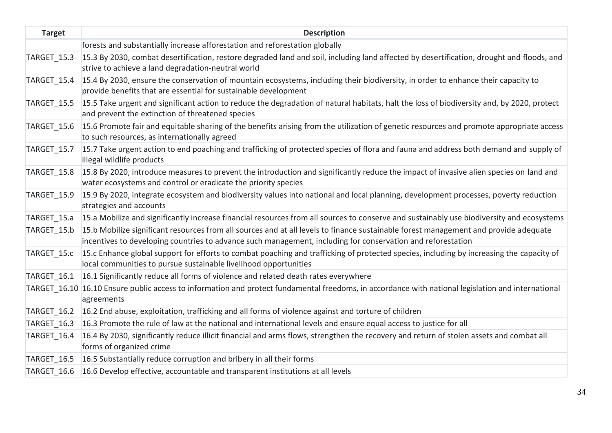| <b>Target</b> | <b>Description</b>                                                                                                                                                                                                                                  |
|---------------|-----------------------------------------------------------------------------------------------------------------------------------------------------------------------------------------------------------------------------------------------------|
|               | forests and substantially increase afforestation and reforestation globally                                                                                                                                                                         |
| TARGET_15.3   | 15.3 By 2030, combat desertification, restore degraded land and soil, including land affected by desertification, drought and floods, and<br>strive to achieve a land degradation-neutral world                                                     |
| TARGET 15.4   | 15.4 By 2030, ensure the conservation of mountain ecosystems, including their biodiversity, in order to enhance their capacity to<br>provide benefits that are essential for sustainable development                                                |
| TARGET 15.5   | 15.5 Take urgent and significant action to reduce the degradation of natural habitats, halt the loss of biodiversity and, by 2020, protect<br>and prevent the extinction of threatened species                                                      |
| TARGET 15.6   | 15.6 Promote fair and equitable sharing of the benefits arising from the utilization of genetic resources and promote appropriate access<br>to such resources, as internationally agreed                                                            |
| TARGET 15.7   | 15.7 Take urgent action to end poaching and trafficking of protected species of flora and fauna and address both demand and supply of<br>illegal wildlife products                                                                                  |
| TARGET 15.8   | 15.8 By 2020, introduce measures to prevent the introduction and significantly reduce the impact of invasive alien species on land and<br>water ecosystems and control or eradicate the priority species                                            |
| TARGET 15.9   | 15.9 By 2020, integrate ecosystem and biodiversity values into national and local planning, development processes, poverty reduction<br>strategies and accounts                                                                                     |
| TARGET 15.a   | 15.a Mobilize and significantly increase financial resources from all sources to conserve and sustainably use biodiversity and ecosystems                                                                                                           |
| TARGET 15.b   | 15.b Mobilize significant resources from all sources and at all levels to finance sustainable forest management and provide adequate<br>incentives to developing countries to advance such management, including for conservation and reforestation |
| TARGET 15.c   | 15.c Enhance global support for efforts to combat poaching and trafficking of protected species, including by increasing the capacity of<br>local communities to pursue sustainable livelihood opportunities                                        |
| TARGET 16.1   | 16.1 Significantly reduce all forms of violence and related death rates everywhere                                                                                                                                                                  |
|               | TARGET 16.10 16.10 Ensure public access to information and protect fundamental freedoms, in accordance with national legislation and international<br>agreements                                                                                    |
| TARGET 16.2   | 16.2 End abuse, exploitation, trafficking and all forms of violence against and torture of children                                                                                                                                                 |
| TARGET 16.3   | 16.3 Promote the rule of law at the national and international levels and ensure equal access to justice for all                                                                                                                                    |
| TARGET_16.4   | 16.4 By 2030, significantly reduce illicit financial and arms flows, strengthen the recovery and return of stolen assets and combat all<br>forms of organized crime                                                                                 |
| TARGET 16.5   | 16.5 Substantially reduce corruption and bribery in all their forms                                                                                                                                                                                 |
|               | TARGET 16.6 16.6 Develop effective, accountable and transparent institutions at all levels                                                                                                                                                          |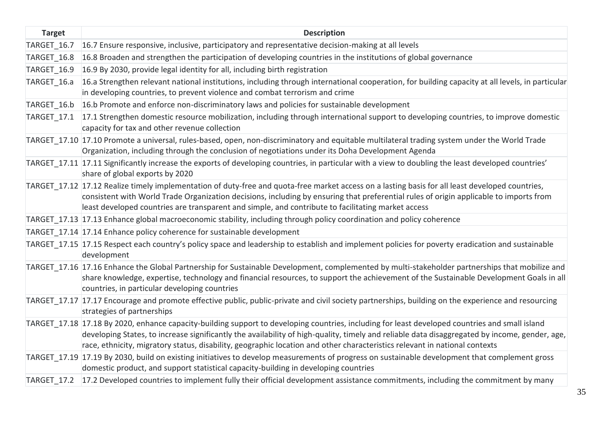| <b>Target</b> | <b>Description</b>                                                                                                                                                                                                                                                                                                                                                                                                             |
|---------------|--------------------------------------------------------------------------------------------------------------------------------------------------------------------------------------------------------------------------------------------------------------------------------------------------------------------------------------------------------------------------------------------------------------------------------|
| TARGET_16.7   | 16.7 Ensure responsive, inclusive, participatory and representative decision-making at all levels                                                                                                                                                                                                                                                                                                                              |
| TARGET 16.8   | 16.8 Broaden and strengthen the participation of developing countries in the institutions of global governance                                                                                                                                                                                                                                                                                                                 |
| TARGET 16.9   | 16.9 By 2030, provide legal identity for all, including birth registration                                                                                                                                                                                                                                                                                                                                                     |
| TARGET 16.a   | 16.a Strengthen relevant national institutions, including through international cooperation, for building capacity at all levels, in particular<br>in developing countries, to prevent violence and combat terrorism and crime                                                                                                                                                                                                 |
| TARGET 16.b   | 16.b Promote and enforce non-discriminatory laws and policies for sustainable development                                                                                                                                                                                                                                                                                                                                      |
| TARGET 17.1   | 17.1 Strengthen domestic resource mobilization, including through international support to developing countries, to improve domestic<br>capacity for tax and other revenue collection                                                                                                                                                                                                                                          |
|               | TARGET_17.10 17.10 Promote a universal, rules-based, open, non-discriminatory and equitable multilateral trading system under the World Trade<br>Organization, including through the conclusion of negotiations under its Doha Development Agenda                                                                                                                                                                              |
|               | TARGET 17.11 17.11 Significantly increase the exports of developing countries, in particular with a view to doubling the least developed countries'<br>share of global exports by 2020                                                                                                                                                                                                                                         |
|               | TARGET 17.12 17.12 Realize timely implementation of duty-free and quota-free market access on a lasting basis for all least developed countries,<br>consistent with World Trade Organization decisions, including by ensuring that preferential rules of origin applicable to imports from<br>least developed countries are transparent and simple, and contribute to facilitating market access                               |
|               | TARGET 17.13 17.13 Enhance global macroeconomic stability, including through policy coordination and policy coherence                                                                                                                                                                                                                                                                                                          |
|               | TARGET 17.14 17.14 Enhance policy coherence for sustainable development                                                                                                                                                                                                                                                                                                                                                        |
|               | TARGET 17.15 17.15 Respect each country's policy space and leadership to establish and implement policies for poverty eradication and sustainable<br>development                                                                                                                                                                                                                                                               |
|               | TARGET 17.16 17.16 Enhance the Global Partnership for Sustainable Development, complemented by multi-stakeholder partnerships that mobilize and<br>share knowledge, expertise, technology and financial resources, to support the achievement of the Sustainable Development Goals in all<br>countries, in particular developing countries                                                                                     |
|               | TARGET_17.17 17.17 Encourage and promote effective public, public-private and civil society partnerships, building on the experience and resourcing<br>strategies of partnerships                                                                                                                                                                                                                                              |
|               | TARGET_17.18 17.18 By 2020, enhance capacity-building support to developing countries, including for least developed countries and small island<br>developing States, to increase significantly the availability of high-quality, timely and reliable data disaggregated by income, gender, age,<br>race, ethnicity, migratory status, disability, geographic location and other characteristics relevant in national contexts |
|               | TARGET 17.19 17.19 By 2030, build on existing initiatives to develop measurements of progress on sustainable development that complement gross<br>domestic product, and support statistical capacity-building in developing countries                                                                                                                                                                                          |
|               | TARGET 17.2 17.2 Developed countries to implement fully their official development assistance commitments, including the commitment by many                                                                                                                                                                                                                                                                                    |